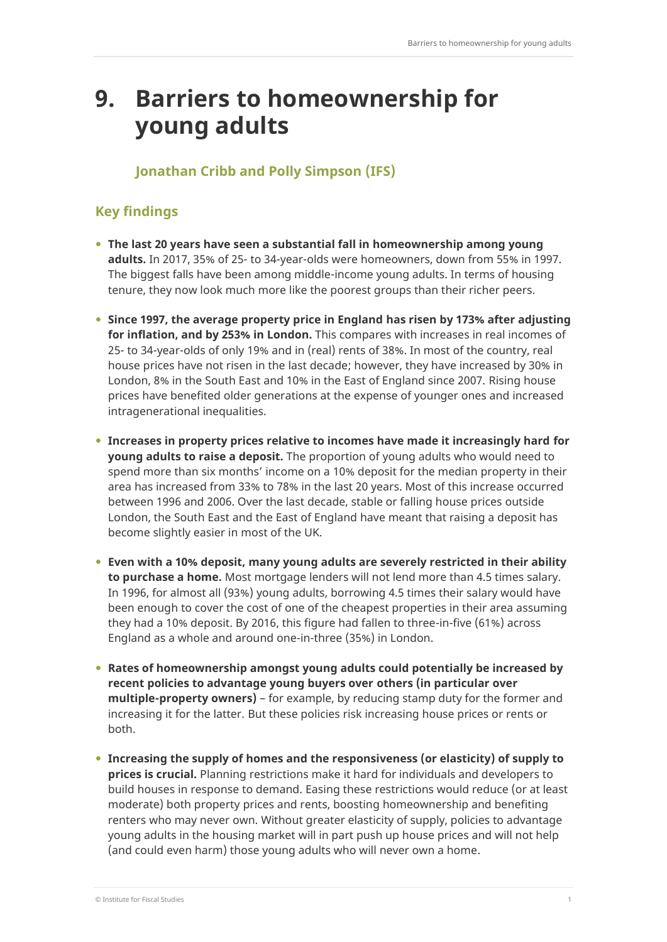# **9. Barriers to homeownership for young adults**

## **Jonathan Cribb and Polly Simpson (IFS)**

# **Key findings**

- **The last 20 years have seen a substantial fall in homeownership among young adults.** In 2017, 35% of 25- to 34-year-olds were homeowners, down from 55% in 1997. The biggest falls have been among middle-income young adults. In terms of housing tenure, they now look much more like the poorest groups than their richer peers.
- **Since 1997, the average property price in England has risen by 173% after adjusting for inflation, and by 253% in London.** This compares with increases in real incomes of 25- to 34-year-olds of only 19% and in (real) rents of 38%. In most of the country, real house prices have not risen in the last decade; however, they have increased by 30% in London, 8% in the South East and 10% in the East of England since 2007. Rising house prices have benefited older generations at the expense of younger ones and increased intragenerational inequalities.
- **Increases in property prices relative to incomes have made it increasingly hard for young adults to raise a deposit.** The proportion of young adults who would need to spend more than six months' income on a 10% deposit for the median property in their area has increased from 33% to 78% in the last 20 years. Most of this increase occurred between 1996 and 2006. Over the last decade, stable or falling house prices outside London, the South East and the East of England have meant that raising a deposit has become slightly easier in most of the UK.
- **Even with a 10% deposit, many young adults are severely restricted in their ability to purchase a home.** Most mortgage lenders will not lend more than 4.5 times salary. In 1996, for almost all (93%) young adults, borrowing 4.5 times their salary would have been enough to cover the cost of one of the cheapest properties in their area assuming they had a 10% deposit. By 2016, this figure had fallen to three-in-five (61%) across England as a whole and around one-in-three (35%) in London.
- **Rates of homeownership amongst young adults could potentially be increased by recent policies to advantage young buyers over others (in particular over multiple-property owners)** – for example, by reducing stamp duty for the former and increasing it for the latter. But these policies risk increasing house prices or rents or both.
- **Increasing the supply of homes and the responsiveness (or elasticity) of supply to prices is crucial.** Planning restrictions make it hard for individuals and developers to build houses in response to demand. Easing these restrictions would reduce (or at least moderate) both property prices and rents, boosting homeownership and benefiting renters who may never own. Without greater elasticity of supply, policies to advantage young adults in the housing market will in part push up house prices and will not help (and could even harm) those young adults who will never own a home.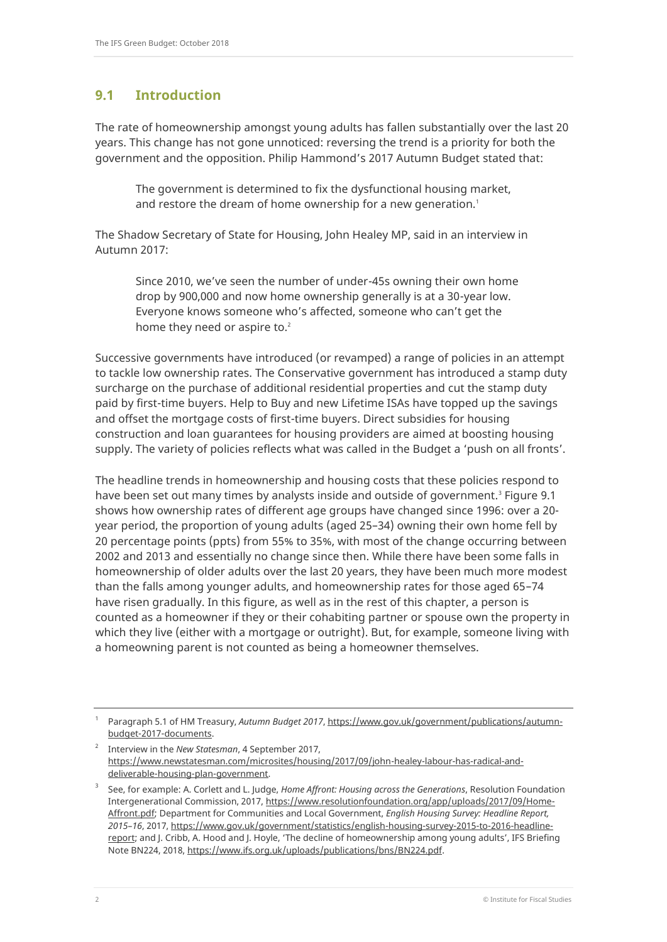## **9.1 Introduction**

The rate of homeownership amongst young adults has fallen substantially over the last 20 years. This change has not gone unnoticed: reversing the trend is a priority for both the government and the opposition. Philip Hammond's 2017 Autumn Budget stated that:

The government is determined to fix the dysfunctional housing market, and restore the dream of home ownership for a new generation.<sup>1</sup>

The Shadow Secretary of State for Housing, John Healey MP, said in an interview in Autumn 2017:

Since 2010, we've seen the number of under-45s owning their own home drop by 900,000 and now home ownership generally is at a 30-year low. Everyone knows someone who's affected, someone who can't get the home they need or aspire to.<sup>2</sup>

Successive governments have introduced (or revamped) a range of policies in an attempt to tackle low ownership rates. The Conservative government has introduced a stamp duty surcharge on the purchase of additional residential properties and cut the stamp duty paid by first-time buyers. Help to Buy and new Lifetime ISAs have topped up the savings and offset the mortgage costs of first-time buyers. Direct subsidies for housing construction and loan guarantees for housing providers are aimed at boosting housing supply. The variety of policies reflects what was called in the Budget a 'push on all fronts'.

The headline trends in homeownership and housing costs that these policies respond to have been set out many times by analysts inside and outside of government.<sup>3</sup> Figure 9.1 shows how ownership rates of different age groups have changed since 1996: over a 20 year period, the proportion of young adults (aged 25–34) owning their own home fell by 20 percentage points (ppts) from 55% to 35%, with most of the change occurring between 2002 and 2013 and essentially no change since then. While there have been some falls in homeownership of older adults over the last 20 years, they have been much more modest than the falls among younger adults, and homeownership rates for those aged 65–74 have risen gradually. In this figure, as well as in the rest of this chapter, a person is counted as a homeowner if they or their cohabiting partner or spouse own the property in which they live (either with a mortgage or outright). But, for example, someone living with a homeowning parent is not counted as being a homeowner themselves.

<sup>1</sup> Paragraph 5.1 of HM Treasury, *Autumn Budget 2017*, [https://www.gov.uk/government/publications/autumn](https://www.gov.uk/government/publications/autumn-budget-2017-documents)[budget-2017-documents.](https://www.gov.uk/government/publications/autumn-budget-2017-documents)

<sup>2</sup> Interview in the *New Statesman*, 4 September 2017, [https://www.newstatesman.com/microsites/housing/2017/09/john-healey-labour-has-radical-and](https://www.newstatesman.com/microsites/housing/2017/09/john-healey-labour-has-radical-and-deliverable-housing-plan-government)[deliverable-housing-plan-government.](https://www.newstatesman.com/microsites/housing/2017/09/john-healey-labour-has-radical-and-deliverable-housing-plan-government)

<sup>3</sup> See, for example: A. Corlett and L. Judge, *Home Affront: Housing across the Generations*, Resolution Foundation Intergenerational Commission, 2017[, https://www.resolutionfoundation.org/app/uploads/2017/09/Home-](https://www.resolutionfoundation.org/app/uploads/2017/09/Home-Affront.pdf)[Affront.pdf;](https://www.resolutionfoundation.org/app/uploads/2017/09/Home-Affront.pdf) Department for Communities and Local Government, *English Housing Survey: Headline Report, 2015–16*, 2017[, https://www.gov.uk/government/statistics/english-housing-survey-2015-to-2016-headline](https://www.gov.uk/government/statistics/english-housing-survey-2015-to-2016-headline-report)[report](https://www.gov.uk/government/statistics/english-housing-survey-2015-to-2016-headline-report); and J. Cribb, A. Hood and J. Hoyle, 'The decline of homeownership among young adults', IFS Briefing Note BN224, 2018[, https://www.ifs.org.uk/uploads/publications/bns/BN224.pdf.](https://www.ifs.org.uk/uploads/publications/bns/BN224.pdf)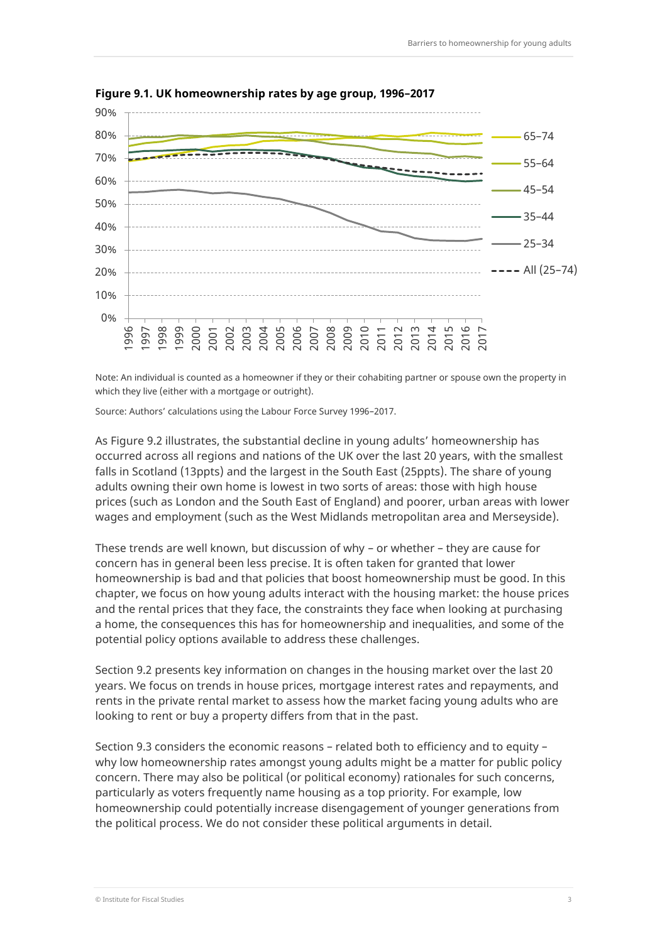

**Figure 9.1. UK homeownership rates by age group, 1996–2017**

Note: An individual is counted as a homeowner if they or their cohabiting partner or spouse own the property in which they live (either with a mortgage or outright).

Source: Authors' calculations using the Labour Force Survey 1996–2017.

As Figure 9.2 illustrates, the substantial decline in young adults' homeownership has occurred across all regions and nations of the UK over the last 20 years, with the smallest falls in Scotland (13ppts) and the largest in the South East (25ppts). The share of young adults owning their own home is lowest in two sorts of areas: those with high house prices (such as London and the South East of England) and poorer, urban areas with lower wages and employment (such as the West Midlands metropolitan area and Merseyside).

These trends are well known, but discussion of why – or whether – they are cause for concern has in general been less precise. It is often taken for granted that lower homeownership is bad and that policies that boost homeownership must be good. In this chapter, we focus on how young adults interact with the housing market: the house prices and the rental prices that they face, the constraints they face when looking at purchasing a home, the consequences this has for homeownership and inequalities, and some of the potential policy options available to address these challenges.

Section 9.2 presents key information on changes in the housing market over the last 20 years. We focus on trends in house prices, mortgage interest rates and repayments, and rents in the private rental market to assess how the market facing young adults who are looking to rent or buy a property differs from that in the past.

Section 9.3 considers the economic reasons – related both to efficiency and to equity – why low homeownership rates amongst young adults might be a matter for public policy concern. There may also be political (or political economy) rationales for such concerns, particularly as voters frequently name housing as a top priority. For example, low homeownership could potentially increase disengagement of younger generations from the political process. We do not consider these political arguments in detail.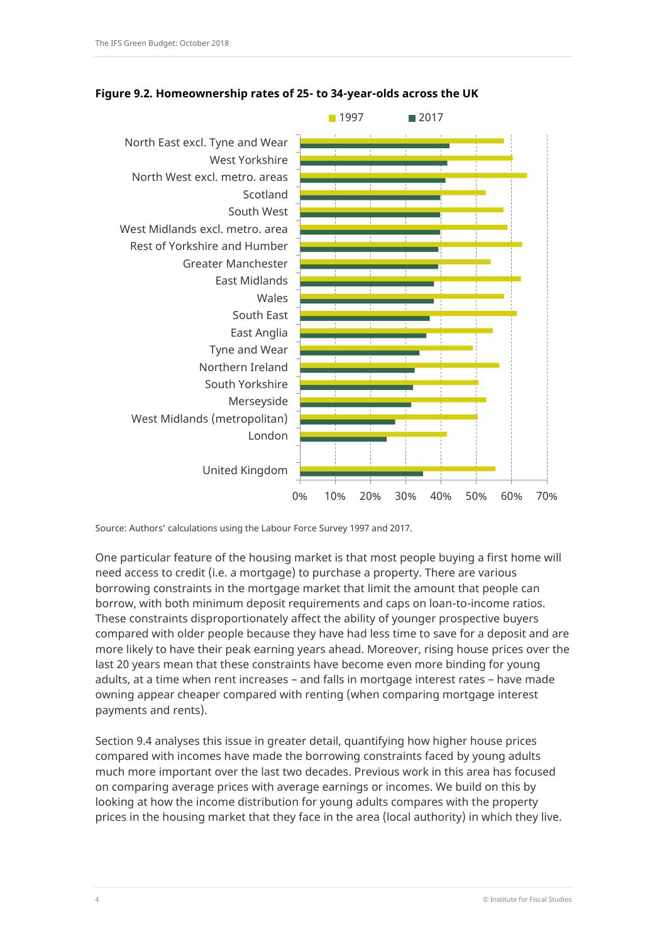



Source: Authors' calculations using the Labour Force Survey 1997 and 2017.

One particular feature of the housing market is that most people buying a first home will need access to credit (i.e. a mortgage) to purchase a property. There are various borrowing constraints in the mortgage market that limit the amount that people can borrow, with both minimum deposit requirements and caps on loan-to-income ratios. These constraints disproportionately affect the ability of younger prospective buyers compared with older people because they have had less time to save for a deposit and are more likely to have their peak earning years ahead. Moreover, rising house prices over the last 20 years mean that these constraints have become even more binding for young adults, at a time when rent increases – and falls in mortgage interest rates – have made owning appear cheaper compared with renting (when comparing mortgage interest payments and rents).

Section 9.4 analyses this issue in greater detail, quantifying how higher house prices compared with incomes have made the borrowing constraints faced by young adults much more important over the last two decades. Previous work in this area has focused on comparing average prices with average earnings or incomes. We build on this by looking at how the income distribution for young adults compares with the property prices in the housing market that they face in the area (local authority) in which they live.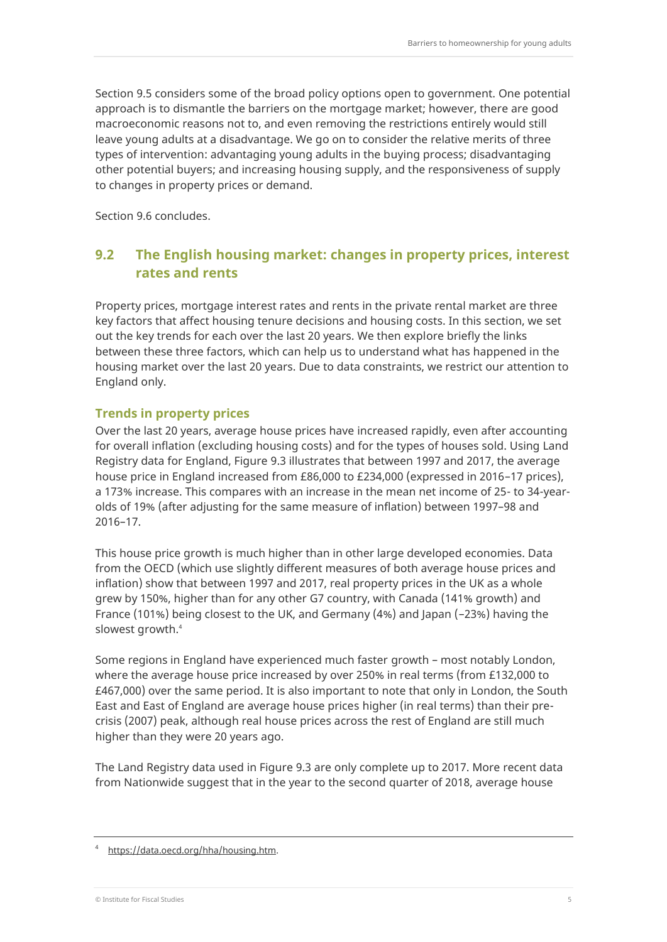Section 9.5 considers some of the broad policy options open to government. One potential approach is to dismantle the barriers on the mortgage market; however, there are good macroeconomic reasons not to, and even removing the restrictions entirely would still leave young adults at a disadvantage. We go on to consider the relative merits of three types of intervention: advantaging young adults in the buying process; disadvantaging other potential buyers; and increasing housing supply, and the responsiveness of supply to changes in property prices or demand.

Section 9.6 concludes.

## **9.2 The English housing market: changes in property prices, interest rates and rents**

Property prices, mortgage interest rates and rents in the private rental market are three key factors that affect housing tenure decisions and housing costs. In this section, we set out the key trends for each over the last 20 years. We then explore briefly the links between these three factors, which can help us to understand what has happened in the housing market over the last 20 years. Due to data constraints, we restrict our attention to England only.

#### **Trends in property prices**

Over the last 20 years, average house prices have increased rapidly, even after accounting for overall inflation (excluding housing costs) and for the types of houses sold. Using Land Registry data for England, Figure 9.3 illustrates that between 1997 and 2017, the average house price in England increased from £86,000 to £234,000 (expressed in 2016–17 prices), a 173% increase. This compares with an increase in the mean net income of 25- to 34-yearolds of 19% (after adjusting for the same measure of inflation) between 1997–98 and 2016–17.

This house price growth is much higher than in other large developed economies. Data from the OECD (which use slightly different measures of both average house prices and inflation) show that between 1997 and 2017, real property prices in the UK as a whole grew by 150%, higher than for any other G7 country, with Canada (141% growth) and France (101%) being closest to the UK, and Germany (4%) and Japan (–23%) having the slowest growth.<sup>4</sup>

Some regions in England have experienced much faster growth – most notably London, where the average house price increased by over 250% in real terms (from £132,000 to £467,000) over the same period. It is also important to note that only in London, the South East and East of England are average house prices higher (in real terms) than their precrisis (2007) peak, although real house prices across the rest of England are still much higher than they were 20 years ago.

The Land Registry data used in Figure 9.3 are only complete up to 2017. More recent data from Nationwide suggest that in the year to the second quarter of 2018, average house

<sup>4</sup> [https://data.oecd.org/hha/housing.htm.](https://data.oecd.org/hha/housing.htm)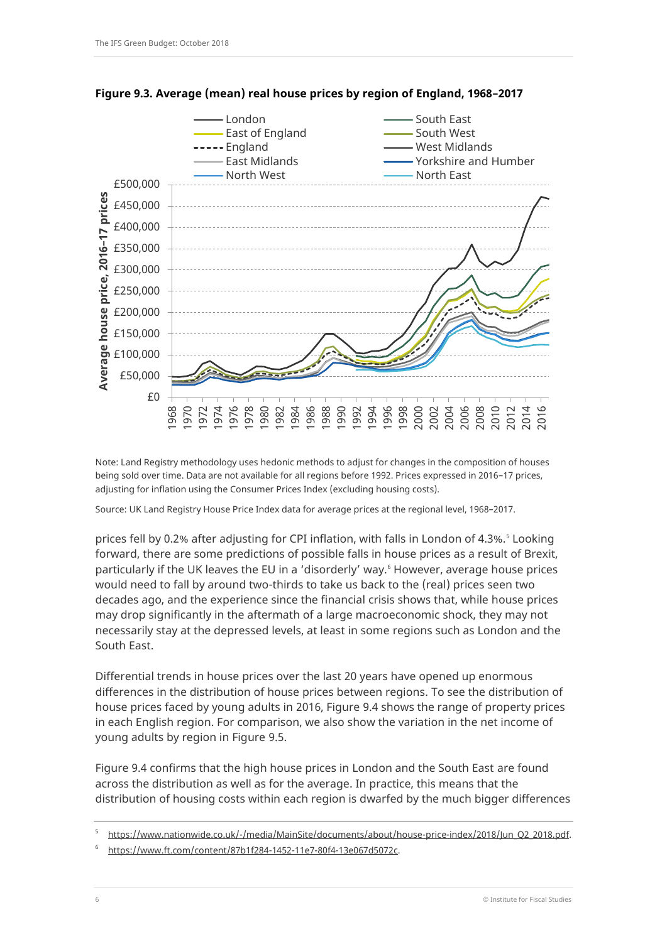

**Figure 9.3. Average (mean) real house prices by region of England, 1968–2017**

Note: Land Registry methodology uses hedonic methods to adjust for changes in the composition of houses being sold over time. Data are not available for all regions before 1992. Prices expressed in 2016–17 prices, adjusting for inflation using the Consumer Prices Index (excluding housing costs).

Source: UK Land Registry House Price Index data for average prices at the regional level, 1968–2017.

prices fell by 0.2% after adjusting for CPI inflation, with falls in London of 4.3%.<sup>5</sup> Looking forward, there are some predictions of possible falls in house prices as a result of Brexit, particularly if the UK leaves the EU in a 'disorderly' way.<sup>6</sup> However, average house prices would need to fall by around two-thirds to take us back to the (real) prices seen two decades ago, and the experience since the financial crisis shows that, while house prices may drop significantly in the aftermath of a large macroeconomic shock, they may not necessarily stay at the depressed levels, at least in some regions such as London and the South East.

Differential trends in house prices over the last 20 years have opened up enormous differences in the distribution of house prices between regions. To see the distribution of house prices faced by young adults in 2016, Figure 9.4 shows the range of property prices in each English region. For comparison, we also show the variation in the net income of young adults by region in Figure 9.5.

Figure 9.4 confirms that the high house prices in London and the South East are found across the distribution as well as for the average. In practice, this means that the distribution of housing costs within each region is dwarfed by the much bigger differences

<sup>5</sup> [https://www.nationwide.co.uk/-/media/MainSite/documents/about/house-price-index/2018/Jun\\_Q2\\_2018.pdf.](https://www.nationwide.co.uk/-/media/MainSite/documents/about/house-price-index/2018/Jun_Q2_2018.pdf)

<sup>6</sup> [https://www.ft.com/content/87b1f284-1452-11e7-80f4-13e067d5072c.](https://www.ft.com/content/87b1f284-1452-11e7-80f4-13e067d5072c)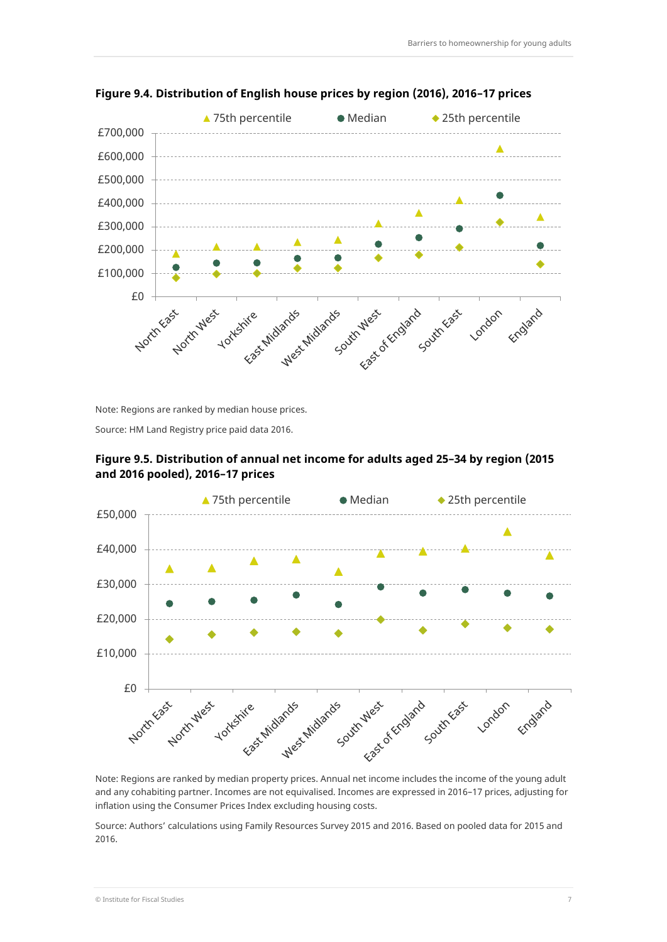

**Figure 9.4. Distribution of English house prices by region (2016), 2016–17 prices**

Note: Regions are ranked by median house prices.

Source: HM Land Registry price paid data 2016.



**Figure 9.5. Distribution of annual net income for adults aged 25–34 by region (2015 and 2016 pooled), 2016–17 prices**

Note: Regions are ranked by median property prices. Annual net income includes the income of the young adult and any cohabiting partner. Incomes are not equivalised. Incomes are expressed in 2016–17 prices, adjusting for inflation using the Consumer Prices Index excluding housing costs.

Source: Authors' calculations using Family Resources Survey 2015 and 2016. Based on pooled data for 2015 and 2016.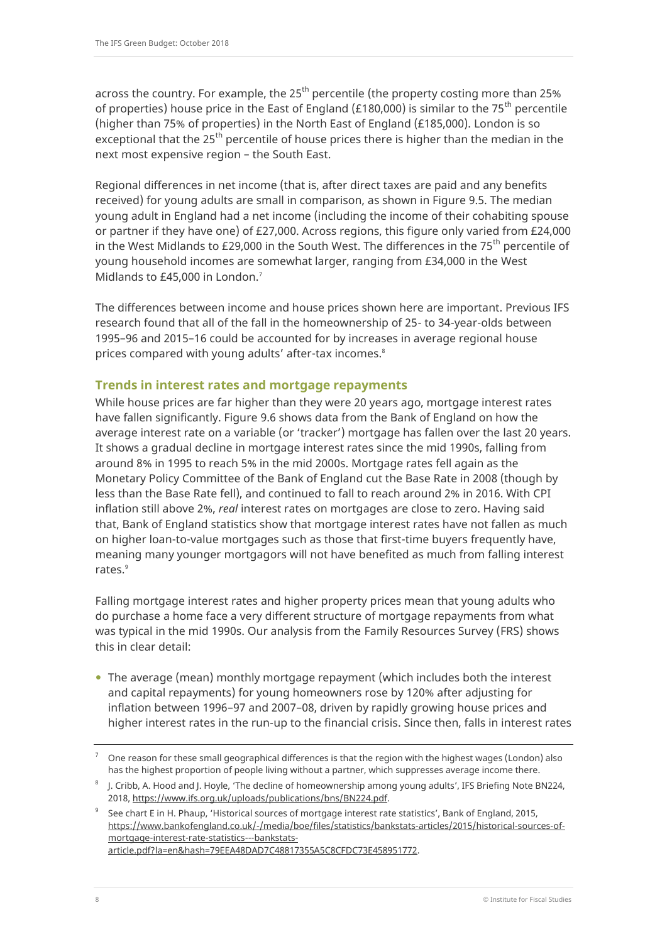across the country. For example, the  $25<sup>th</sup>$  percentile (the property costing more than 25% of properties) house price in the East of England (£180,000) is similar to the 75<sup>th</sup> percentile (higher than 75% of properties) in the North East of England (£185,000). London is so exceptional that the  $25<sup>th</sup>$  percentile of house prices there is higher than the median in the next most expensive region – the South East.

Regional differences in net income (that is, after direct taxes are paid and any benefits received) for young adults are small in comparison, as shown in Figure 9.5. The median young adult in England had a net income (including the income of their cohabiting spouse or partner if they have one) of £27,000. Across regions, this figure only varied from £24,000 in the West Midlands to £29,000 in the South West. The differences in the 75<sup>th</sup> percentile of young household incomes are somewhat larger, ranging from £34,000 in the West Midlands to £45,000 in London.<sup>7</sup>

The differences between income and house prices shown here are important. Previous IFS research found that all of the fall in the homeownership of 25- to 34-year-olds between 1995–96 and 2015–16 could be accounted for by increases in average regional house prices compared with young adults' after-tax incomes.<sup>8</sup>

## **Trends in interest rates and mortgage repayments**

While house prices are far higher than they were 20 years ago, mortgage interest rates have fallen significantly. Figure 9.6 shows data from the Bank of England on how the average interest rate on a variable (or 'tracker') mortgage has fallen over the last 20 years. It shows a gradual decline in mortgage interest rates since the mid 1990s, falling from around 8% in 1995 to reach 5% in the mid 2000s. Mortgage rates fell again as the Monetary Policy Committee of the Bank of England cut the Base Rate in 2008 (though by less than the Base Rate fell), and continued to fall to reach around 2% in 2016. With CPI inflation still above 2%, *real* interest rates on mortgages are close to zero. Having said that, Bank of England statistics show that mortgage interest rates have not fallen as much on higher loan-to-value mortgages such as those that first-time buyers frequently have, meaning many younger mortgagors will not have benefited as much from falling interest rates.<sup>9</sup>

Falling mortgage interest rates and higher property prices mean that young adults who do purchase a home face a very different structure of mortgage repayments from what was typical in the mid 1990s. Our analysis from the Family Resources Survey (FRS) shows this in clear detail:

 The average (mean) monthly mortgage repayment (which includes both the interest and capital repayments) for young homeowners rose by 120% after adjusting for inflation between 1996–97 and 2007–08, driven by rapidly growing house prices and higher interest rates in the run-up to the financial crisis. Since then, falls in interest rates

<sup>7</sup> One reason for these small geographical differences is that the region with the highest wages (London) also has the highest proportion of people living without a partner, which suppresses average income there.

 $8$  J. Cribb, A. Hood and J. Hoyle, 'The decline of homeownership among young adults', IFS Briefing Note BN224, 2018[, https://www.ifs.org.uk/uploads/publications/bns/BN224.pdf.](https://www.ifs.org.uk/uploads/publications/bns/BN224.pdf)

<sup>9</sup> See chart E in H. Phaup, 'Historical sources of mortgage interest rate statistics', Bank of England, 2015, [https://www.bankofengland.co.uk/-/media/boe/files/statistics/bankstats-articles/2015/historical-sources-of](https://www.bankofengland.co.uk/-/media/boe/files/statistics/bankstats-articles/2015/historical-sources-of-mortgage-interest-rate-statistics---bankstats-article.pdf?la=en&hash=79EEA48DAD7C48817355A5C8CFDC73E458951772)[mortgage-interest-rate-statistics---bankstats](https://www.bankofengland.co.uk/-/media/boe/files/statistics/bankstats-articles/2015/historical-sources-of-mortgage-interest-rate-statistics---bankstats-article.pdf?la=en&hash=79EEA48DAD7C48817355A5C8CFDC73E458951772)[article.pdf?la=en&hash=79EEA48DAD7C48817355A5C8CFDC73E458951772.](https://www.bankofengland.co.uk/-/media/boe/files/statistics/bankstats-articles/2015/historical-sources-of-mortgage-interest-rate-statistics---bankstats-article.pdf?la=en&hash=79EEA48DAD7C48817355A5C8CFDC73E458951772)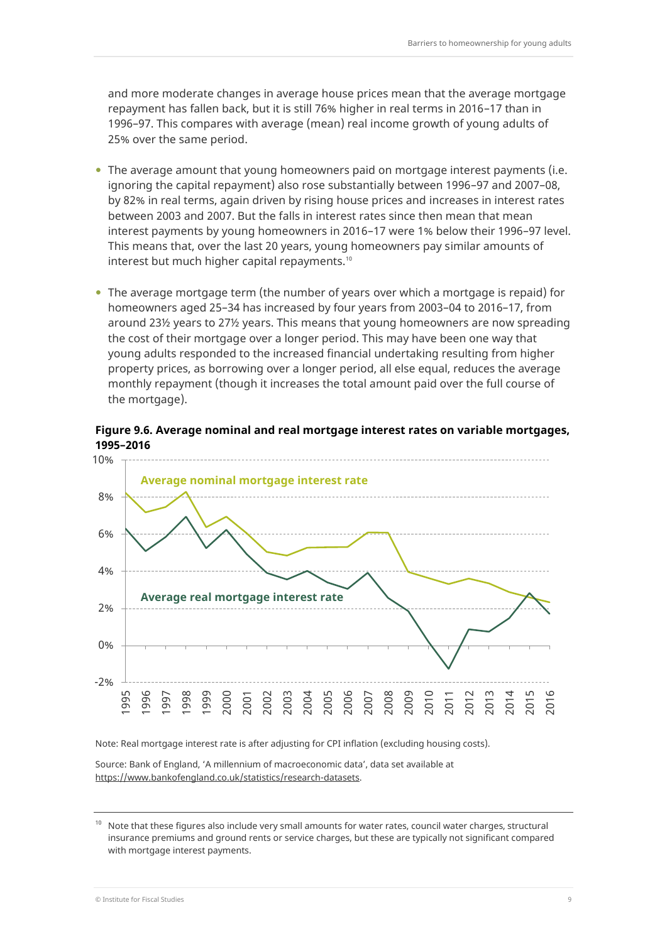and more moderate changes in average house prices mean that the average mortgage repayment has fallen back, but it is still 76% higher in real terms in 2016–17 than in 1996–97. This compares with average (mean) real income growth of young adults of 25% over the same period.

- The average amount that young homeowners paid on mortgage interest payments (i.e. ignoring the capital repayment) also rose substantially between 1996–97 and 2007–08, by 82% in real terms, again driven by rising house prices and increases in interest rates between 2003 and 2007. But the falls in interest rates since then mean that mean interest payments by young homeowners in 2016–17 were 1% below their 1996–97 level. This means that, over the last 20 years, young homeowners pay similar amounts of interest but much higher capital repayments.<sup>10</sup>
- The average mortgage term (the number of years over which a mortgage is repaid) for homeowners aged 25–34 has increased by four years from 2003–04 to 2016–17, from around 23½ years to 27½ years. This means that young homeowners are now spreading the cost of their mortgage over a longer period. This may have been one way that young adults responded to the increased financial undertaking resulting from higher property prices, as borrowing over a longer period, all else equal, reduces the average monthly repayment (though it increases the total amount paid over the full course of the mortgage).

#### **Figure 9.6. Average nominal and real mortgage interest rates on variable mortgages, 1995–2016**



Note: Real mortgage interest rate is after adjusting for CPI inflation (excluding housing costs).

Source: Bank of England, 'A millennium of macroeconomic data', data set available at [https://www.bankofengland.co.uk/statistics/research-datasets.](https://www.bankofengland.co.uk/statistics/research-datasets)

<sup>10</sup> Note that these figures also include very small amounts for water rates, council water charges, structural insurance premiums and ground rents or service charges, but these are typically not significant compared with mortgage interest payments.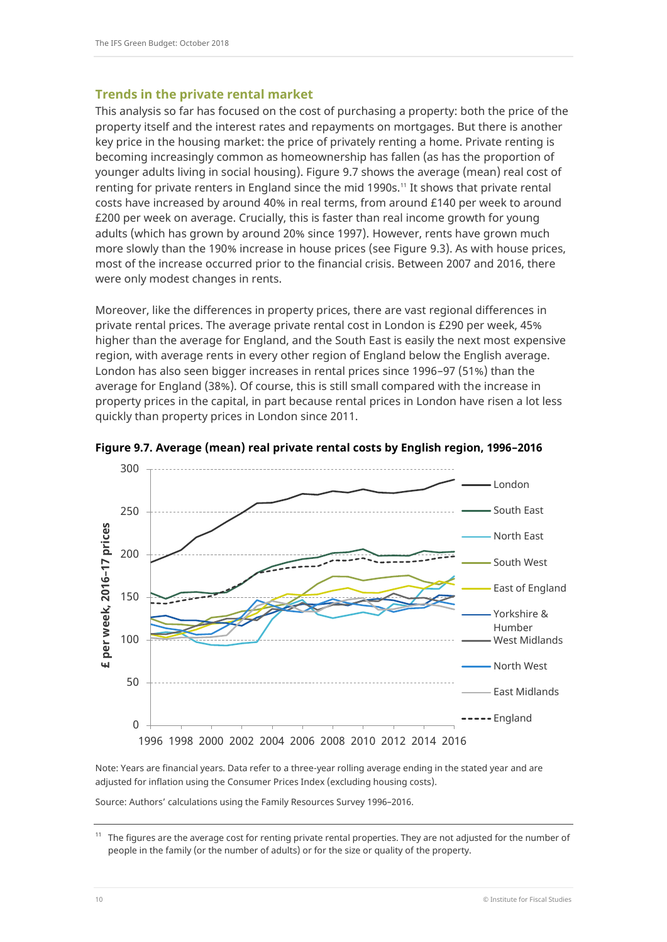#### **Trends in the private rental market**

This analysis so far has focused on the cost of purchasing a property: both the price of the property itself and the interest rates and repayments on mortgages. But there is another key price in the housing market: the price of privately renting a home. Private renting is becoming increasingly common as homeownership has fallen (as has the proportion of younger adults living in social housing). Figure 9.7 shows the average (mean) real cost of renting for private renters in England since the mid 1990s.<sup>11</sup> It shows that private rental costs have increased by around 40% in real terms, from around £140 per week to around £200 per week on average. Crucially, this is faster than real income growth for young adults (which has grown by around 20% since 1997). However, rents have grown much more slowly than the 190% increase in house prices (see Figure 9.3). As with house prices, most of the increase occurred prior to the financial crisis. Between 2007 and 2016, there were only modest changes in rents.

Moreover, like the differences in property prices, there are vast regional differences in private rental prices. The average private rental cost in London is £290 per week, 45% higher than the average for England, and the South East is easily the next most expensive region, with average rents in every other region of England below the English average. London has also seen bigger increases in rental prices since 1996–97 (51%) than the average for England (38%). Of course, this is still small compared with the increase in property prices in the capital, in part because rental prices in London have risen a lot less quickly than property prices in London since 2011.



**Figure 9.7. Average (mean) real private rental costs by English region, 1996–2016**

Note: Years are financial years. Data refer to a three-year rolling average ending in the stated year and are adjusted for inflation using the Consumer Prices Index (excluding housing costs).

Source: Authors' calculations using the Family Resources Survey 1996–2016.

 $11$  The figures are the average cost for renting private rental properties. They are not adjusted for the number of people in the family (or the number of adults) or for the size or quality of the property.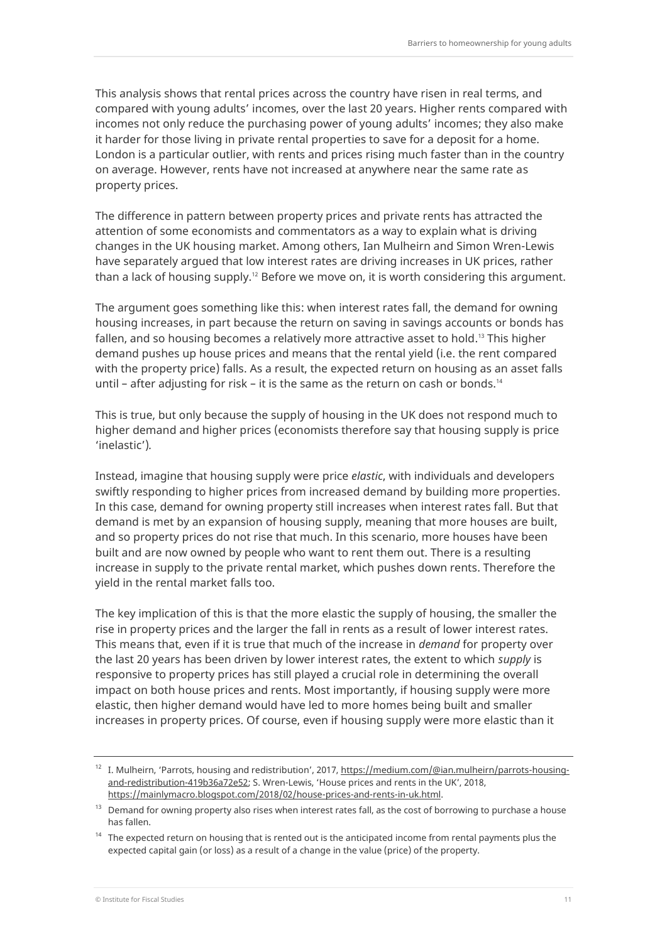This analysis shows that rental prices across the country have risen in real terms, and compared with young adults' incomes, over the last 20 years. Higher rents compared with incomes not only reduce the purchasing power of young adults' incomes; they also make it harder for those living in private rental properties to save for a deposit for a home. London is a particular outlier, with rents and prices rising much faster than in the country on average. However, rents have not increased at anywhere near the same rate as property prices.

The difference in pattern between property prices and private rents has attracted the attention of some economists and commentators as a way to explain what is driving changes in the UK housing market. Among others, Ian Mulheirn and Simon Wren-Lewis have separately argued that low interest rates are driving increases in UK prices, rather than a lack of housing supply.<sup>12</sup> Before we move on, it is worth considering this argument.

The argument goes something like this: when interest rates fall, the demand for owning housing increases, in part because the return on saving in savings accounts or bonds has fallen, and so housing becomes a relatively more attractive asset to hold. <sup>13</sup> This higher demand pushes up house prices and means that the rental yield (i.e. the rent compared with the property price) falls. As a result, the expected return on housing as an asset falls until – after adjusting for risk – it is the same as the return on cash or bonds.<sup>14</sup>

This is true, but only because the supply of housing in the UK does not respond much to higher demand and higher prices (economists therefore say that housing supply is price 'inelastic')*.*

Instead, imagine that housing supply were price *elastic*, with individuals and developers swiftly responding to higher prices from increased demand by building more properties. In this case, demand for owning property still increases when interest rates fall. But that demand is met by an expansion of housing supply, meaning that more houses are built, and so property prices do not rise that much. In this scenario, more houses have been built and are now owned by people who want to rent them out. There is a resulting increase in supply to the private rental market, which pushes down rents. Therefore the yield in the rental market falls too.

The key implication of this is that the more elastic the supply of housing, the smaller the rise in property prices and the larger the fall in rents as a result of lower interest rates. This means that, even if it is true that much of the increase in *demand* for property over the last 20 years has been driven by lower interest rates, the extent to which *supply* is responsive to property prices has still played a crucial role in determining the overall impact on both house prices and rents. Most importantly, if housing supply were more elastic, then higher demand would have led to more homes being built and smaller increases in property prices. Of course, even if housing supply were more elastic than it

<sup>&</sup>lt;sup>12</sup> I. Mulheirn, 'Parrots, housing and redistribution', 2017, [https://medium.com/@ian.mulheirn/parrots-housing](https://medium.com/@ian.mulheirn/parrots-housing-and-redistribution-419b36a72e52)[and-redistribution-419b36a72e52;](https://medium.com/@ian.mulheirn/parrots-housing-and-redistribution-419b36a72e52) S. Wren-Lewis, 'House prices and rents in the UK', 2018, [https://mainlymacro.blogspot.com/2018/02/house-prices-and-rents-in-uk.html.](https://mainlymacro.blogspot.com/2018/02/house-prices-and-rents-in-uk.html)

<sup>&</sup>lt;sup>13</sup> Demand for owning property also rises when interest rates fall, as the cost of borrowing to purchase a house has fallen.

<sup>&</sup>lt;sup>14</sup> The expected return on housing that is rented out is the anticipated income from rental payments plus the expected capital gain (or loss) as a result of a change in the value (price) of the property.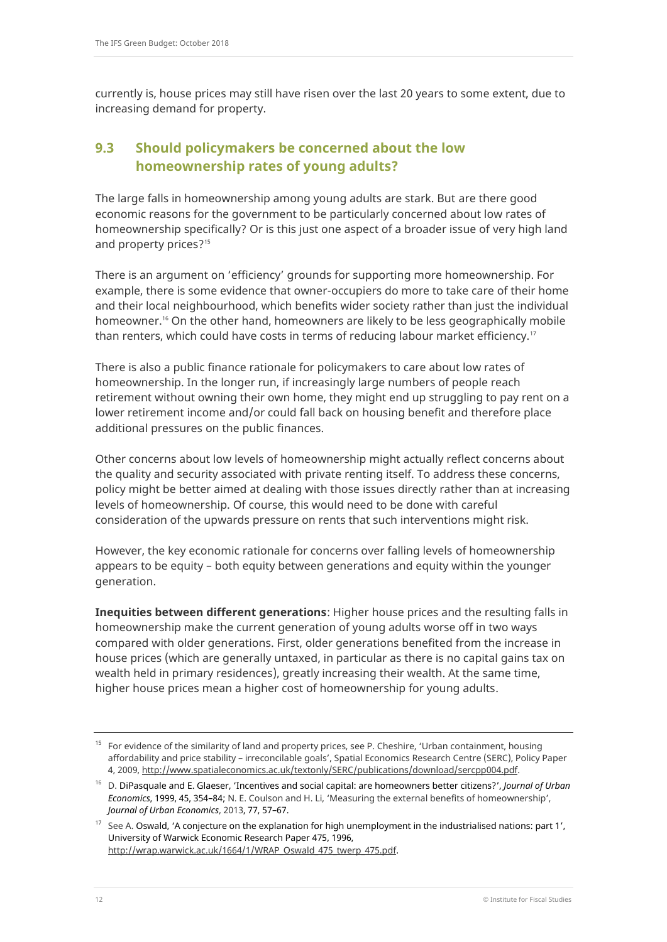currently is, house prices may still have risen over the last 20 years to some extent, due to increasing demand for property.

# **9.3 Should policymakers be concerned about the low homeownership rates of young adults?**

The large falls in homeownership among young adults are stark. But are there good economic reasons for the government to be particularly concerned about low rates of homeownership specifically? Or is this just one aspect of a broader issue of very high land and property prices? 15

There is an argument on 'efficiency' grounds for supporting more homeownership. For example, there is some evidence that owner-occupiers do more to take care of their home and their local neighbourhood, which benefits wider society rather than just the individual homeowner.<sup>16</sup> On the other hand, homeowners are likely to be less geographically mobile than renters, which could have costs in terms of reducing labour market efficiency.<sup>17</sup>

There is also a public finance rationale for policymakers to care about low rates of homeownership. In the longer run, if increasingly large numbers of people reach retirement without owning their own home, they might end up struggling to pay rent on a lower retirement income and/or could fall back on housing benefit and therefore place additional pressures on the public finances.

Other concerns about low levels of homeownership might actually reflect concerns about the quality and security associated with private renting itself. To address these concerns, policy might be better aimed at dealing with those issues directly rather than at increasing levels of homeownership. Of course, this would need to be done with careful consideration of the upwards pressure on rents that such interventions might risk.

However, the key economic rationale for concerns over falling levels of homeownership appears to be equity – both equity between generations and equity within the younger generation.

**Inequities between different generations**: Higher house prices and the resulting falls in homeownership make the current generation of young adults worse off in two ways compared with older generations. First, older generations benefited from the increase in house prices (which are generally untaxed, in particular as there is no capital gains tax on wealth held in primary residences), greatly increasing their wealth. At the same time, higher house prices mean a higher cost of homeownership for young adults.

<sup>&</sup>lt;sup>15</sup> For evidence of the similarity of land and property prices, see P. Cheshire, 'Urban containment, housing affordability and price stability – irreconcilable goals', Spatial Economics Research Centre (SERC), Policy Paper 4, 2009[, http://www.spatialeconomics.ac.uk/textonly/SERC/publications/download/sercpp004.pdf.](http://www.spatialeconomics.ac.uk/textonly/SERC/publications/download/sercpp004.pdf)

<sup>16</sup> D. DiPasquale and E. Glaeser, '[Incentives and social capital: are homeowners better citizens?](https://ideas.repec.org/a/eee/juecon/v45y1999i2p354-384.html)', *[Journal of Urban](https://ideas.repec.org/s/eee/juecon.html)  [Economics](https://ideas.repec.org/s/eee/juecon.html)*, 1999, 45, 354–84; N. E. Coulson and H. Li, 'Measuring the external benefits of homeownership', *[Journal of Urban Economics](https://ideas.repec.org/s/eee/juecon.html)*, 2013, 77, 57–67.

<sup>&</sup>lt;sup>17</sup> See A. Oswald, 'A conjecture on the explanation for high unemployment in the industrialised nations: part 1', University of Warwick Economic Research Paper 475, 1996, [http://wrap.warwick.ac.uk/1664/1/WRAP\\_Oswald\\_475\\_twerp\\_475.pdf.](http://wrap.warwick.ac.uk/1664/1/WRAP_Oswald_475_twerp_475.pdf)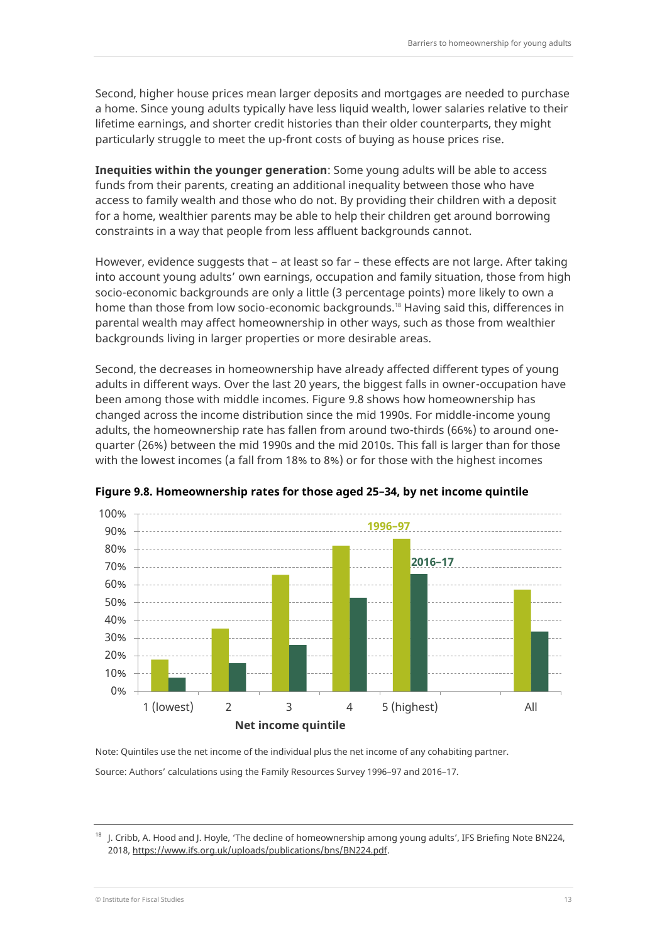Second, higher house prices mean larger deposits and mortgages are needed to purchase a home. Since young adults typically have less liquid wealth, lower salaries relative to their lifetime earnings, and shorter credit histories than their older counterparts, they might particularly struggle to meet the up-front costs of buying as house prices rise.

**Inequities within the younger generation**: Some young adults will be able to access funds from their parents, creating an additional inequality between those who have access to family wealth and those who do not. By providing their children with a deposit for a home, wealthier parents may be able to help their children get around borrowing constraints in a way that people from less affluent backgrounds cannot.

However, evidence suggests that – at least so far – these effects are not large. After taking into account young adults' own earnings, occupation and family situation, those from high socio-economic backgrounds are only a little (3 percentage points) more likely to own a home than those from low socio-economic backgrounds.<sup>18</sup> Having said this, differences in parental wealth may affect homeownership in other ways, such as those from wealthier backgrounds living in larger properties or more desirable areas.

Second, the decreases in homeownership have already affected different types of young adults in different ways. Over the last 20 years, the biggest falls in owner-occupation have been among those with middle incomes. Figure 9.8 shows how homeownership has changed across the income distribution since the mid 1990s. For middle-income young adults, the homeownership rate has fallen from around two-thirds (66%) to around onequarter (26%) between the mid 1990s and the mid 2010s. This fall is larger than for those with the lowest incomes (a fall from 18% to 8%) or for those with the highest incomes



**Figure 9.8. Homeownership rates for those aged 25–34, by net income quintile**

Note: Quintiles use the net income of the individual plus the net income of any cohabiting partner. Source: Authors' calculations using the Family Resources Survey 1996–97 and 2016–17.

<sup>18</sup> J. Cribb, A. Hood and J. Hoyle, 'The decline of homeownership among young adults', IFS Briefing Note BN224, 2018[, https://www.ifs.org.uk/uploads/publications/bns/BN224.pdf.](https://www.ifs.org.uk/uploads/publications/bns/BN224.pdf)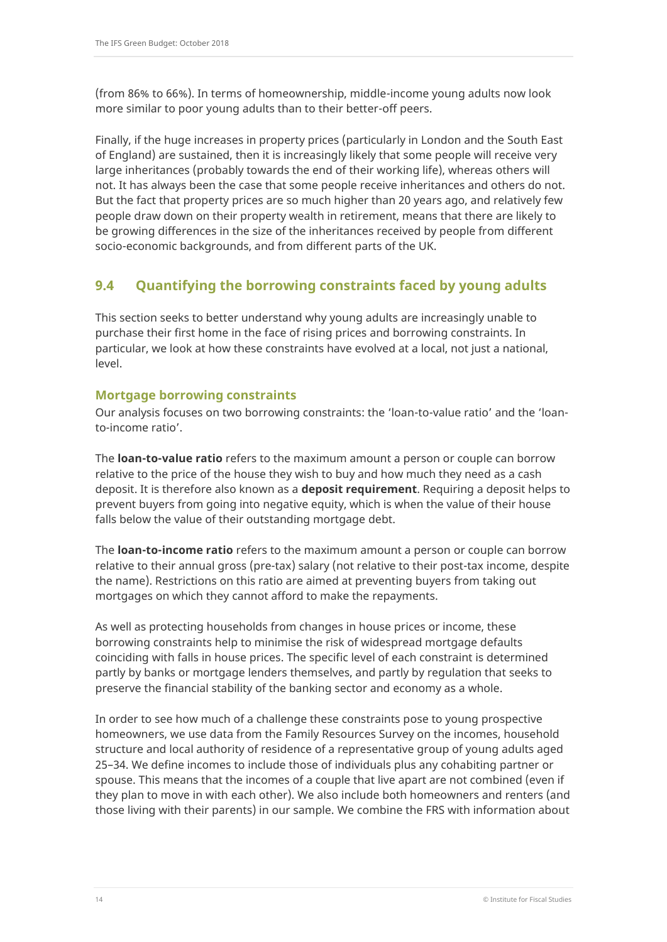(from 86% to 66%). In terms of homeownership, middle-income young adults now look more similar to poor young adults than to their better-off peers.

Finally, if the huge increases in property prices (particularly in London and the South East of England) are sustained, then it is increasingly likely that some people will receive very large inheritances (probably towards the end of their working life), whereas others will not. It has always been the case that some people receive inheritances and others do not. But the fact that property prices are so much higher than 20 years ago, and relatively few people draw down on their property wealth in retirement, means that there are likely to be growing differences in the size of the inheritances received by people from different socio-economic backgrounds, and from different parts of the UK.

# **9.4 Quantifying the borrowing constraints faced by young adults**

This section seeks to better understand why young adults are increasingly unable to purchase their first home in the face of rising prices and borrowing constraints. In particular, we look at how these constraints have evolved at a local, not just a national, level.

#### **Mortgage borrowing constraints**

Our analysis focuses on two borrowing constraints: the 'loan-to-value ratio' and the 'loanto-income ratio'.

The **loan-to-value ratio** refers to the maximum amount a person or couple can borrow relative to the price of the house they wish to buy and how much they need as a cash deposit. It is therefore also known as a **deposit requirement**. Requiring a deposit helps to prevent buyers from going into negative equity, which is when the value of their house falls below the value of their outstanding mortgage debt.

The **loan-to-income ratio** refers to the maximum amount a person or couple can borrow relative to their annual gross (pre-tax) salary (not relative to their post-tax income, despite the name). Restrictions on this ratio are aimed at preventing buyers from taking out mortgages on which they cannot afford to make the repayments.

As well as protecting households from changes in house prices or income, these borrowing constraints help to minimise the risk of widespread mortgage defaults coinciding with falls in house prices. The specific level of each constraint is determined partly by banks or mortgage lenders themselves, and partly by regulation that seeks to preserve the financial stability of the banking sector and economy as a whole.

In order to see how much of a challenge these constraints pose to young prospective homeowners, we use data from the Family Resources Survey on the incomes, household structure and local authority of residence of a representative group of young adults aged 25–34. We define incomes to include those of individuals plus any cohabiting partner or spouse. This means that the incomes of a couple that live apart are not combined (even if they plan to move in with each other). We also include both homeowners and renters (and those living with their parents) in our sample. We combine the FRS with information about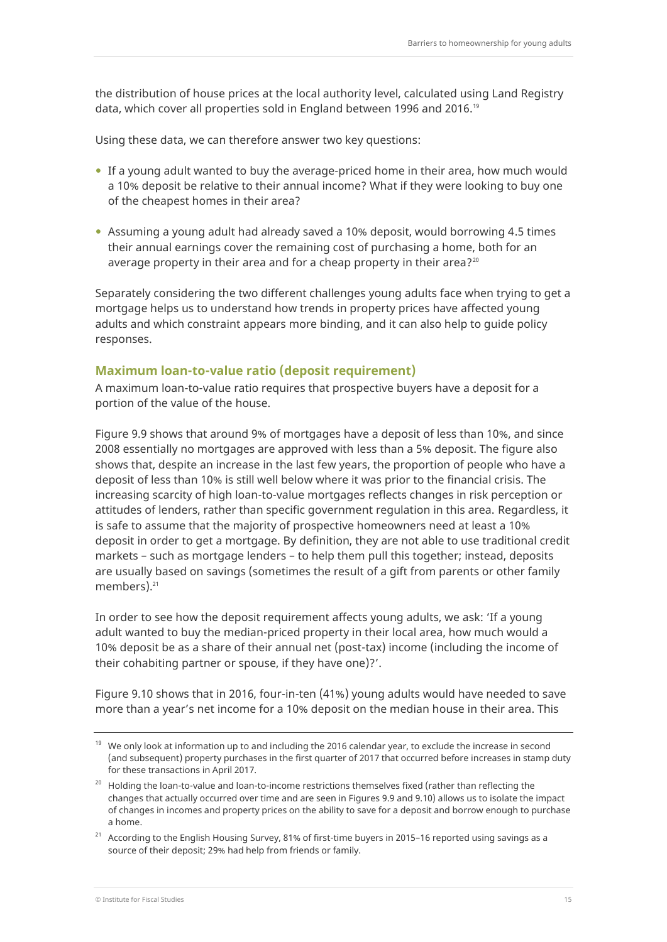the distribution of house prices at the local authority level, calculated using Land Registry data, which cover all properties sold in England between 1996 and 2016.<sup>19</sup>

Using these data, we can therefore answer two key questions:

- If a young adult wanted to buy the average-priced home in their area, how much would a 10% deposit be relative to their annual income? What if they were looking to buy one of the cheapest homes in their area?
- Assuming a young adult had already saved a 10% deposit, would borrowing 4.5 times their annual earnings cover the remaining cost of purchasing a home, both for an average property in their area and for a cheap property in their area? $20$

Separately considering the two different challenges young adults face when trying to get a mortgage helps us to understand how trends in property prices have affected young adults and which constraint appears more binding, and it can also help to guide policy responses.

#### **Maximum loan-to-value ratio (deposit requirement)**

A maximum loan-to-value ratio requires that prospective buyers have a deposit for a portion of the value of the house.

Figure 9.9 shows that around 9% of mortgages have a deposit of less than 10%, and since 2008 essentially no mortgages are approved with less than a 5% deposit. The figure also shows that, despite an increase in the last few years, the proportion of people who have a deposit of less than 10% is still well below where it was prior to the financial crisis. The increasing scarcity of high loan-to-value mortgages reflects changes in risk perception or attitudes of lenders, rather than specific government regulation in this area. Regardless, it is safe to assume that the majority of prospective homeowners need at least a 10% deposit in order to get a mortgage. By definition, they are not able to use traditional credit markets – such as mortgage lenders – to help them pull this together; instead, deposits are usually based on savings (sometimes the result of a gift from parents or other family members).<sup>21</sup>

In order to see how the deposit requirement affects young adults, we ask: 'If a young adult wanted to buy the median-priced property in their local area, how much would a 10% deposit be as a share of their annual net (post-tax) income (including the income of their cohabiting partner or spouse, if they have one)?'.

Figure 9.10 shows that in 2016, four-in-ten (41%) young adults would have needed to save more than a year's net income for a 10% deposit on the median house in their area. This

<sup>&</sup>lt;sup>19</sup> We only look at information up to and including the 2016 calendar year, to exclude the increase in second (and subsequent) property purchases in the first quarter of 2017 that occurred before increases in stamp duty for these transactions in April 2017.

 $20$  Holding the loan-to-value and loan-to-income restrictions themselves fixed (rather than reflecting the changes that actually occurred over time and are seen in Figures 9.9 and 9.10) allows us to isolate the impact of changes in incomes and property prices on the ability to save for a deposit and borrow enough to purchase a home.

 $21$  According to the English Housing Survey, 81% of first-time buyers in 2015–16 reported using savings as a source of their deposit; 29% had help from friends or family.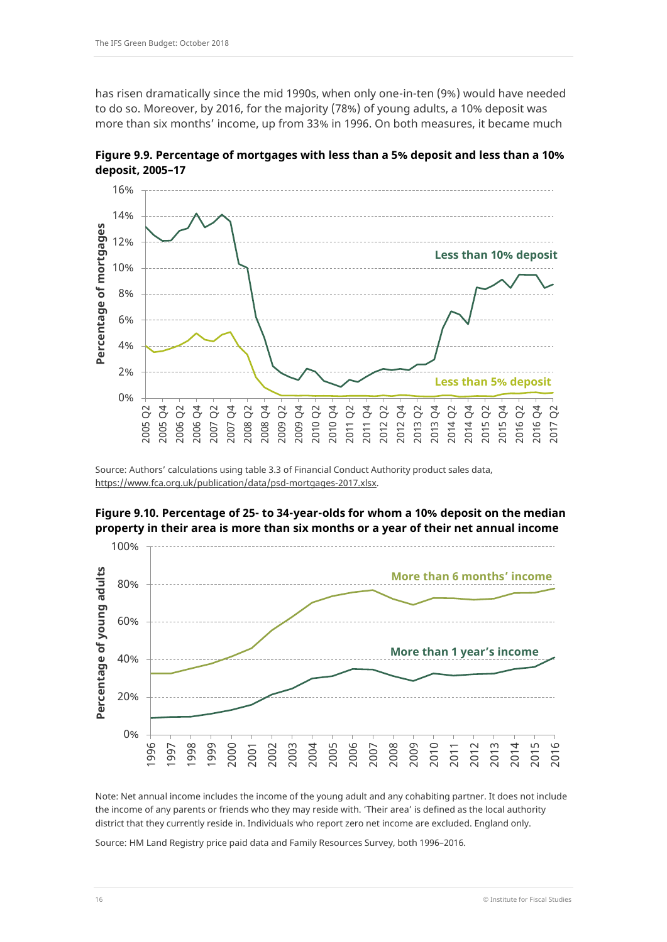has risen dramatically since the mid 1990s, when only one-in-ten (9%) would have needed to do so. Moreover, by 2016, for the majority (78%) of young adults, a 10% deposit was more than six months' income, up from 33% in 1996. On both measures, it became much

**Figure 9.9. Percentage of mortgages with less than a 5% deposit and less than a 10% deposit, 2005–17**



Source: Authors' calculations using table 3.3 of Financial Conduct Authority product sales data, [https://www.fca.org.uk/publication/data/psd-mortgages-2017.xlsx.](https://www.fca.org.uk/publication/data/psd-mortgages-2017.xlsx)

## **Figure 9.10. Percentage of 25- to 34-year-olds for whom a 10% deposit on the median property in their area is more than six months or a year of their net annual income**



Note: Net annual income includes the income of the young adult and any cohabiting partner. It does not include the income of any parents or friends who they may reside with. 'Their area' is defined as the local authority district that they currently reside in. Individuals who report zero net income are excluded. England only.

Source: HM Land Registry price paid data and Family Resources Survey, both 1996–2016.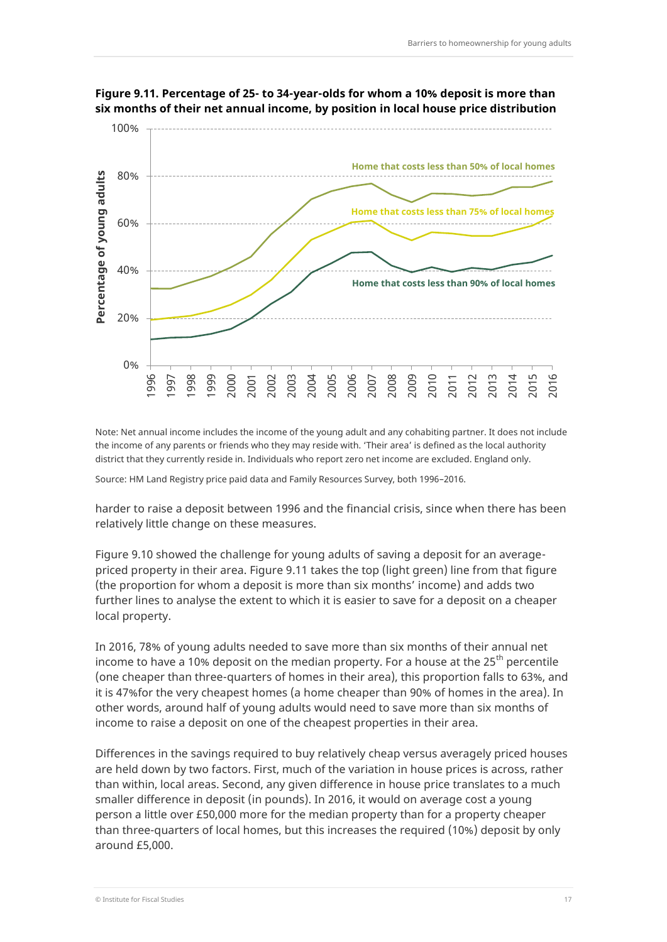

**Figure 9.11. Percentage of 25- to 34-year-olds for whom a 10% deposit is more than six months of their net annual income, by position in local house price distribution**

Note: Net annual income includes the income of the young adult and any cohabiting partner. It does not include the income of any parents or friends who they may reside with. 'Their area' is defined as the local authority district that they currently reside in. Individuals who report zero net income are excluded. England only.

Source: HM Land Registry price paid data and Family Resources Survey, both 1996–2016.

harder to raise a deposit between 1996 and the financial crisis, since when there has been relatively little change on these measures.

Figure 9.10 showed the challenge for young adults of saving a deposit for an averagepriced property in their area. Figure 9.11 takes the top (light green) line from that figure (the proportion for whom a deposit is more than six months' income) and adds two further lines to analyse the extent to which it is easier to save for a deposit on a cheaper local property.

In 2016, 78% of young adults needed to save more than six months of their annual net income to have a 10% deposit on the median property. For a house at the 25<sup>th</sup> percentile (one cheaper than three-quarters of homes in their area), this proportion falls to 63%, and it is 47%for the very cheapest homes (a home cheaper than 90% of homes in the area). In other words, around half of young adults would need to save more than six months of income to raise a deposit on one of the cheapest properties in their area.

Differences in the savings required to buy relatively cheap versus averagely priced houses are held down by two factors. First, much of the variation in house prices is across, rather than within, local areas. Second, any given difference in house price translates to a much smaller difference in deposit (in pounds). In 2016, it would on average cost a young person a little over £50,000 more for the median property than for a property cheaper than three-quarters of local homes, but this increases the required (10%) deposit by only around £5,000.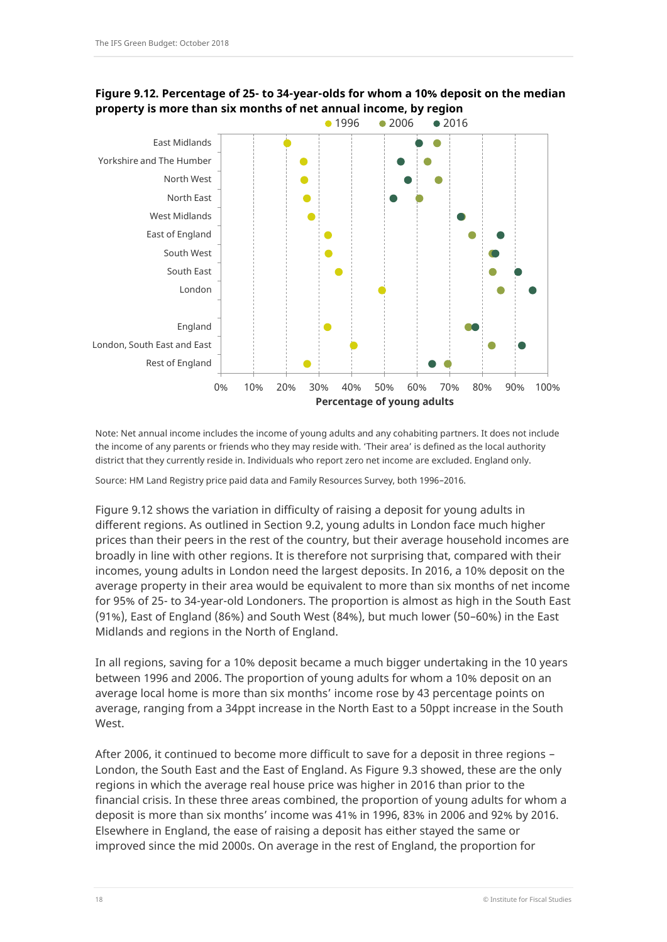

**Figure 9.12. Percentage of 25- to 34-year-olds for whom a 10% deposit on the median property is more than six months of net annual income, by region**

Note: Net annual income includes the income of young adults and any cohabiting partners. It does not include the income of any parents or friends who they may reside with. 'Their area' is defined as the local authority district that they currently reside in. Individuals who report zero net income are excluded. England only.

Source: HM Land Registry price paid data and Family Resources Survey, both 1996–2016.

Figure 9.12 shows the variation in difficulty of raising a deposit for young adults in different regions. As outlined in Section 9.2, young adults in London face much higher prices than their peers in the rest of the country, but their average household incomes are broadly in line with other regions. It is therefore not surprising that, compared with their incomes, young adults in London need the largest deposits. In 2016, a 10% deposit on the average property in their area would be equivalent to more than six months of net income for 95% of 25- to 34-year-old Londoners. The proportion is almost as high in the South East (91%), East of England (86%) and South West (84%), but much lower (50–60%) in the East Midlands and regions in the North of England.

In all regions, saving for a 10% deposit became a much bigger undertaking in the 10 years between 1996 and 2006. The proportion of young adults for whom a 10% deposit on an average local home is more than six months' income rose by 43 percentage points on average, ranging from a 34ppt increase in the North East to a 50ppt increase in the South West.

After 2006, it continued to become more difficult to save for a deposit in three regions – London, the South East and the East of England. As Figure 9.3 showed, these are the only regions in which the average real house price was higher in 2016 than prior to the financial crisis. In these three areas combined, the proportion of young adults for whom a deposit is more than six months' income was 41% in 1996, 83% in 2006 and 92% by 2016. Elsewhere in England, the ease of raising a deposit has either stayed the same or improved since the mid 2000s. On average in the rest of England, the proportion for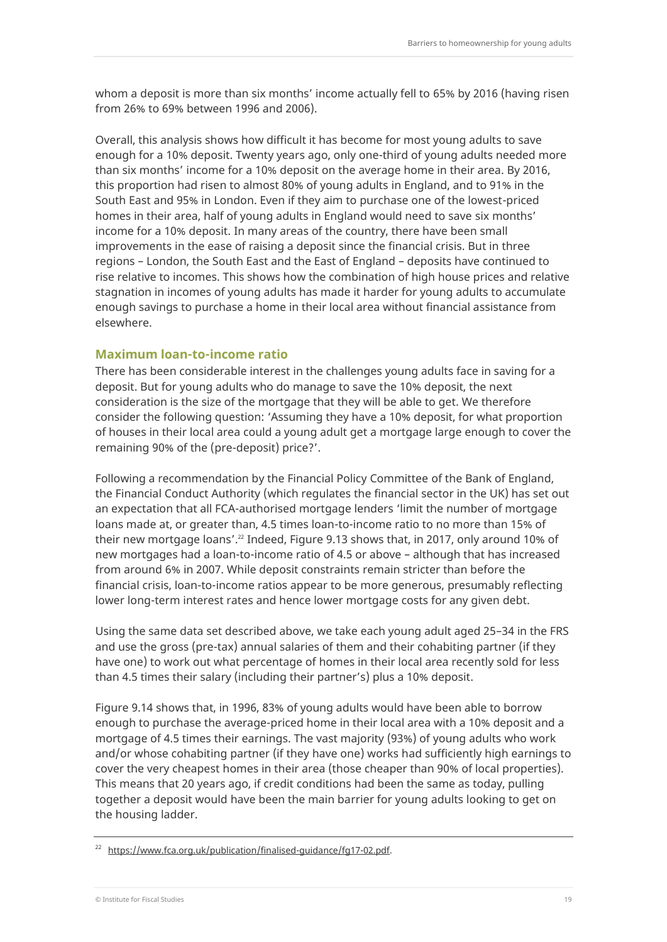whom a deposit is more than six months' income actually fell to 65% by 2016 (having risen from 26% to 69% between 1996 and 2006).

Overall, this analysis shows how difficult it has become for most young adults to save enough for a 10% deposit. Twenty years ago, only one-third of young adults needed more than six months' income for a 10% deposit on the average home in their area. By 2016, this proportion had risen to almost 80% of young adults in England, and to 91% in the South East and 95% in London. Even if they aim to purchase one of the lowest-priced homes in their area, half of young adults in England would need to save six months' income for a 10% deposit. In many areas of the country, there have been small improvements in the ease of raising a deposit since the financial crisis. But in three regions – London, the South East and the East of England – deposits have continued to rise relative to incomes. This shows how the combination of high house prices and relative stagnation in incomes of young adults has made it harder for young adults to accumulate enough savings to purchase a home in their local area without financial assistance from elsewhere.

#### **Maximum loan-to-income ratio**

There has been considerable interest in the challenges young adults face in saving for a deposit. But for young adults who do manage to save the 10% deposit, the next consideration is the size of the mortgage that they will be able to get. We therefore consider the following question: 'Assuming they have a 10% deposit, for what proportion of houses in their local area could a young adult get a mortgage large enough to cover the remaining 90% of the (pre-deposit) price?'.

Following a recommendation by the Financial Policy Committee of the Bank of England, the Financial Conduct Authority (which regulates the financial sector in the UK) has set out an expectation that all FCA-authorised mortgage lenders 'limit the number of mortgage loans made at, or greater than, 4.5 times loan-to-income ratio to no more than 15% of their new mortgage loans'.<sup>22</sup> Indeed, Figure 9.13 shows that, in 2017, only around 10% of new mortgages had a loan-to-income ratio of 4.5 or above – although that has increased from around 6% in 2007. While deposit constraints remain stricter than before the financial crisis, loan-to-income ratios appear to be more generous, presumably reflecting lower long-term interest rates and hence lower mortgage costs for any given debt.

Using the same data set described above, we take each young adult aged 25–34 in the FRS and use the gross (pre-tax) annual salaries of them and their cohabiting partner (if they have one) to work out what percentage of homes in their local area recently sold for less than 4.5 times their salary (including their partner's) plus a 10% deposit.

Figure 9.14 shows that, in 1996, 83% of young adults would have been able to borrow enough to purchase the average-priced home in their local area with a 10% deposit and a mortgage of 4.5 times their earnings. The vast majority (93%) of young adults who work and/or whose cohabiting partner (if they have one) works had sufficiently high earnings to cover the very cheapest homes in their area (those cheaper than 90% of local properties). This means that 20 years ago, if credit conditions had been the same as today, pulling together a deposit would have been the main barrier for young adults looking to get on the housing ladder.

[https://www.fca.org.uk/publication/finalised-guidance/fg17-02.pdf.](https://www.fca.org.uk/publication/finalised-guidance/fg17-02.pdf)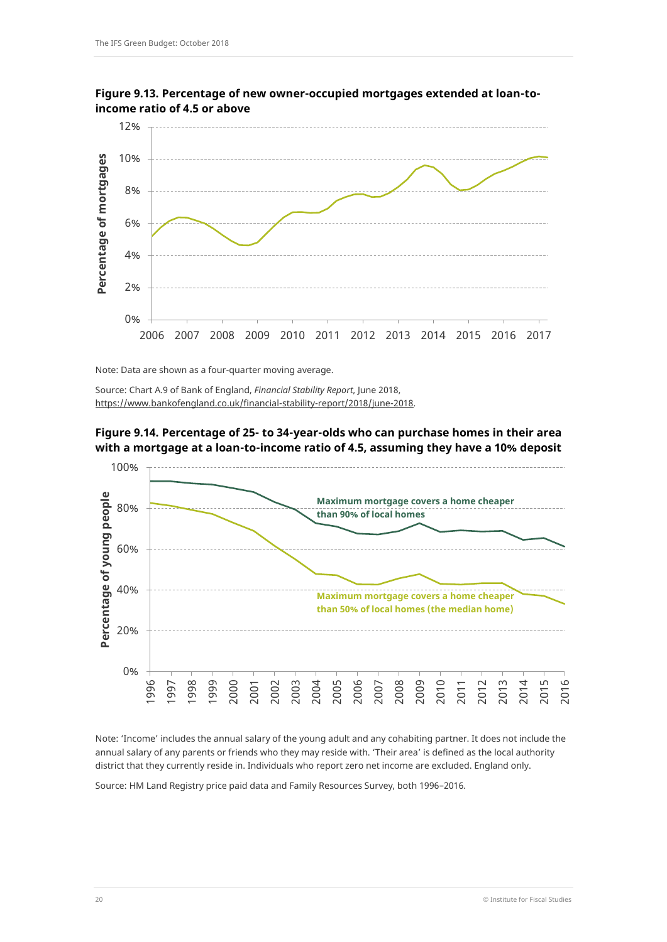

**Figure 9.13. Percentage of new owner-occupied mortgages extended at loan-toincome ratio of 4.5 or above**

Note: Data are shown as a four-quarter moving average.

Source: Chart A.9 of Bank of England, *Financial Stability Report*, June 2018, [https://www.bankofengland.co.uk/financial-stability-report/2018/june-2018.](https://www.bankofengland.co.uk/financial-stability-report/2018/june-2018)





Note: 'Income' includes the annual salary of the young adult and any cohabiting partner. It does not include the annual salary of any parents or friends who they may reside with. 'Their area' is defined as the local authority district that they currently reside in. Individuals who report zero net income are excluded. England only.

Source: HM Land Registry price paid data and Family Resources Survey, both 1996–2016.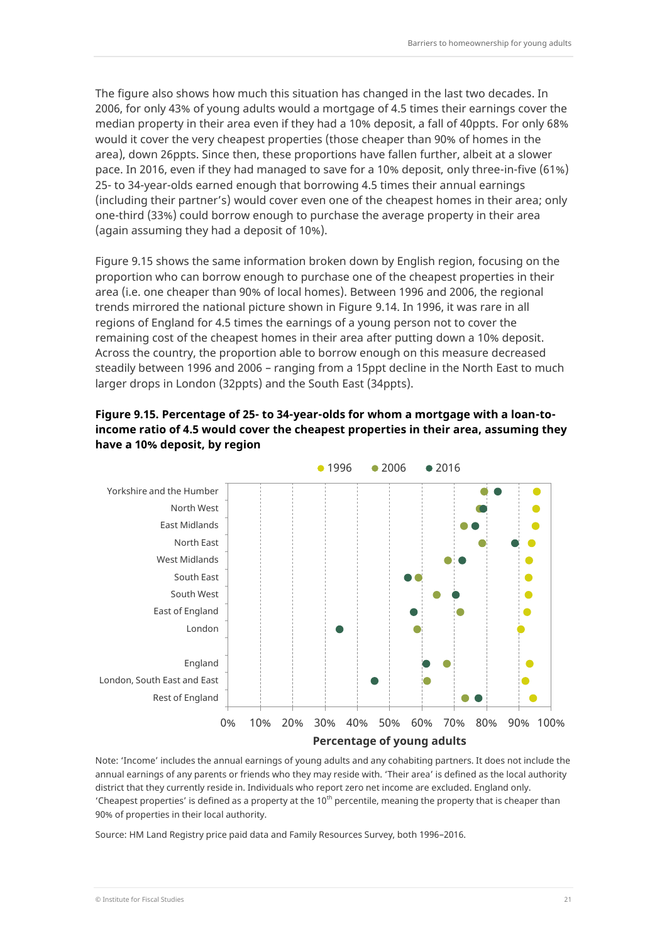The figure also shows how much this situation has changed in the last two decades. In 2006, for only 43% of young adults would a mortgage of 4.5 times their earnings cover the median property in their area even if they had a 10% deposit, a fall of 40ppts. For only 68% would it cover the very cheapest properties (those cheaper than 90% of homes in the area), down 26ppts. Since then, these proportions have fallen further, albeit at a slower pace. In 2016, even if they had managed to save for a 10% deposit, only three-in-five (61%) 25- to 34-year-olds earned enough that borrowing 4.5 times their annual earnings (including their partner's) would cover even one of the cheapest homes in their area; only one-third (33%) could borrow enough to purchase the average property in their area (again assuming they had a deposit of 10%).

Figure 9.15 shows the same information broken down by English region, focusing on the proportion who can borrow enough to purchase one of the cheapest properties in their area (i.e. one cheaper than 90% of local homes). Between 1996 and 2006, the regional trends mirrored the national picture shown in Figure 9.14. In 1996, it was rare in all regions of England for 4.5 times the earnings of a young person not to cover the remaining cost of the cheapest homes in their area after putting down a 10% deposit. Across the country, the proportion able to borrow enough on this measure decreased steadily between 1996 and 2006 – ranging from a 15ppt decline in the North East to much larger drops in London (32ppts) and the South East (34ppts).





Note: 'Income' includes the annual earnings of young adults and any cohabiting partners. It does not include the annual earnings of any parents or friends who they may reside with. 'Their area' is defined as the local authority district that they currently reside in. Individuals who report zero net income are excluded. England only. 'Cheapest properties' is defined as a property at the  $10<sup>th</sup>$  percentile, meaning the property that is cheaper than 90% of properties in their local authority.

Source: HM Land Registry price paid data and Family Resources Survey, both 1996–2016.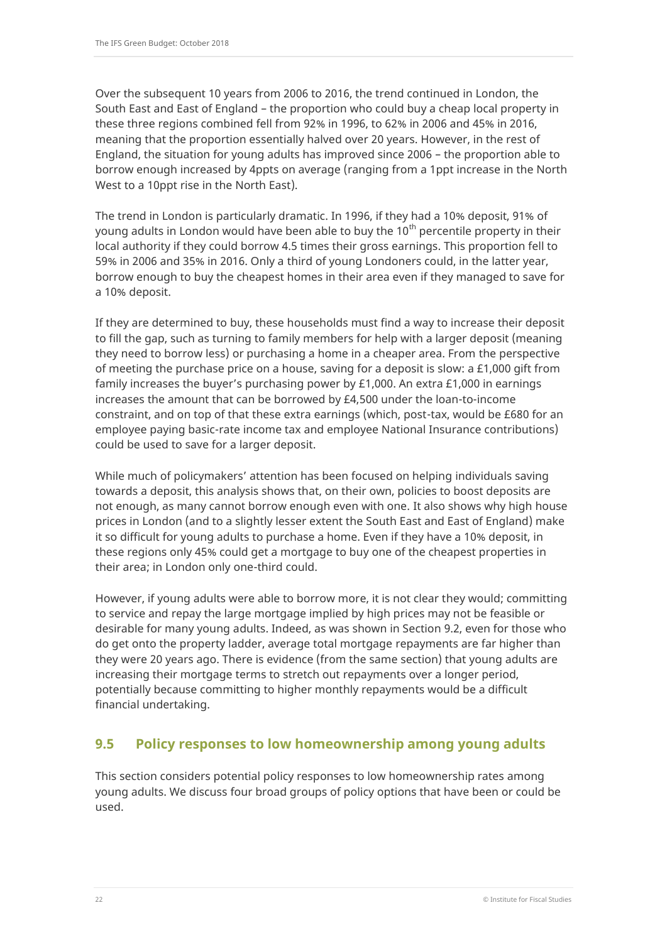Over the subsequent 10 years from 2006 to 2016, the trend continued in London, the South East and East of England – the proportion who could buy a cheap local property in these three regions combined fell from 92% in 1996, to 62% in 2006 and 45% in 2016, meaning that the proportion essentially halved over 20 years. However, in the rest of England, the situation for young adults has improved since 2006 – the proportion able to borrow enough increased by 4ppts on average (ranging from a 1ppt increase in the North West to a 10ppt rise in the North East).

The trend in London is particularly dramatic. In 1996, if they had a 10% deposit, 91% of young adults in London would have been able to buy the  $10<sup>th</sup>$  percentile property in their local authority if they could borrow 4.5 times their gross earnings. This proportion fell to 59% in 2006 and 35% in 2016. Only a third of young Londoners could, in the latter year, borrow enough to buy the cheapest homes in their area even if they managed to save for a 10% deposit.

If they are determined to buy, these households must find a way to increase their deposit to fill the gap, such as turning to family members for help with a larger deposit (meaning they need to borrow less) or purchasing a home in a cheaper area. From the perspective of meeting the purchase price on a house, saving for a deposit is slow: a £1,000 gift from family increases the buyer's purchasing power by £1,000. An extra £1,000 in earnings increases the amount that can be borrowed by £4,500 under the loan-to-income constraint, and on top of that these extra earnings (which, post-tax, would be £680 for an employee paying basic-rate income tax and employee National Insurance contributions) could be used to save for a larger deposit.

While much of policymakers' attention has been focused on helping individuals saving towards a deposit, this analysis shows that, on their own, policies to boost deposits are not enough, as many cannot borrow enough even with one. It also shows why high house prices in London (and to a slightly lesser extent the South East and East of England) make it so difficult for young adults to purchase a home. Even if they have a 10% deposit, in these regions only 45% could get a mortgage to buy one of the cheapest properties in their area; in London only one-third could.

However, if young adults were able to borrow more, it is not clear they would; committing to service and repay the large mortgage implied by high prices may not be feasible or desirable for many young adults. Indeed, as was shown in Section 9.2, even for those who do get onto the property ladder, average total mortgage repayments are far higher than they were 20 years ago. There is evidence (from the same section) that young adults are increasing their mortgage terms to stretch out repayments over a longer period, potentially because committing to higher monthly repayments would be a difficult financial undertaking.

# **9.5 Policy responses to low homeownership among young adults**

This section considers potential policy responses to low homeownership rates among young adults. We discuss four broad groups of policy options that have been or could be used.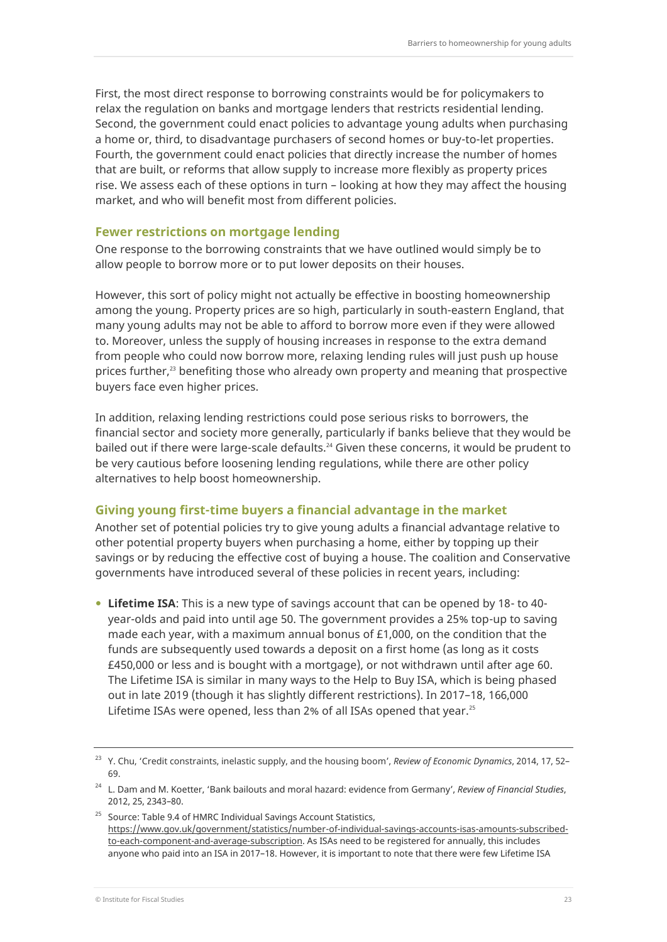First, the most direct response to borrowing constraints would be for policymakers to relax the regulation on banks and mortgage lenders that restricts residential lending. Second, the government could enact policies to advantage young adults when purchasing a home or, third, to disadvantage purchasers of second homes or buy-to-let properties. Fourth, the government could enact policies that directly increase the number of homes that are built, or reforms that allow supply to increase more flexibly as property prices rise. We assess each of these options in turn – looking at how they may affect the housing market, and who will benefit most from different policies.

#### **Fewer restrictions on mortgage lending**

One response to the borrowing constraints that we have outlined would simply be to allow people to borrow more or to put lower deposits on their houses.

However, this sort of policy might not actually be effective in boosting homeownership among the young. Property prices are so high, particularly in south-eastern England, that many young adults may not be able to afford to borrow more even if they were allowed to. Moreover, unless the supply of housing increases in response to the extra demand from people who could now borrow more, relaxing lending rules will just push up house prices further,<sup>23</sup> benefiting those who already own property and meaning that prospective buyers face even higher prices.

In addition, relaxing lending restrictions could pose serious risks to borrowers, the financial sector and society more generally, particularly if banks believe that they would be bailed out if there were large-scale defaults.<sup>24</sup> Given these concerns, it would be prudent to be very cautious before loosening lending regulations, while there are other policy alternatives to help boost homeownership.

#### **Giving young first-time buyers a financial advantage in the market**

Another set of potential policies try to give young adults a financial advantage relative to other potential property buyers when purchasing a home, either by topping up their savings or by reducing the effective cost of buying a house. The coalition and Conservative governments have introduced several of these policies in recent years, including:

 **Lifetime ISA**: This is a new type of savings account that can be opened by 18- to 40 year-olds and paid into until age 50. The government provides a 25% top-up to saving made each year, with a maximum annual bonus of £1,000, on the condition that the funds are subsequently used towards a deposit on a first home (as long as it costs £450,000 or less and is bought with a mortgage), or not withdrawn until after age 60. The Lifetime ISA is similar in many ways to the Help to Buy ISA, which is being phased out in late 2019 (though it has slightly different restrictions). In 2017–18, 166,000 Lifetime ISAs were opened, less than 2% of all ISAs opened that year.<sup>25</sup>

<sup>25</sup> Source: Table 9.4 of HMRC Individual Savings Account Statistics, [https://www.gov.uk/government/statistics/number-of-individual-savings-accounts-isas-amounts-subscribed](https://www.gov.uk/government/statistics/number-of-individual-savings-accounts-isas-amounts-subscribed-to-each-component-and-average-subscription)[to-each-component-and-average-subscription.](https://www.gov.uk/government/statistics/number-of-individual-savings-accounts-isas-amounts-subscribed-to-each-component-and-average-subscription) As ISAs need to be registered for annually, this includes anyone who paid into an ISA in 2017–18. However, it is important to note that there were few Lifetime ISA

<sup>23</sup> Y. Chu, 'Credit constraints, inelastic supply, and the housing boom', *Review of Economic Dynamics*, 2014, 17, 52– 69.

<sup>24</sup> L. Dam and M. Koetter, 'Bank bailouts and moral hazard: evidence from Germany', *Review of Financial Studies*, 2012, 25, 2343–80.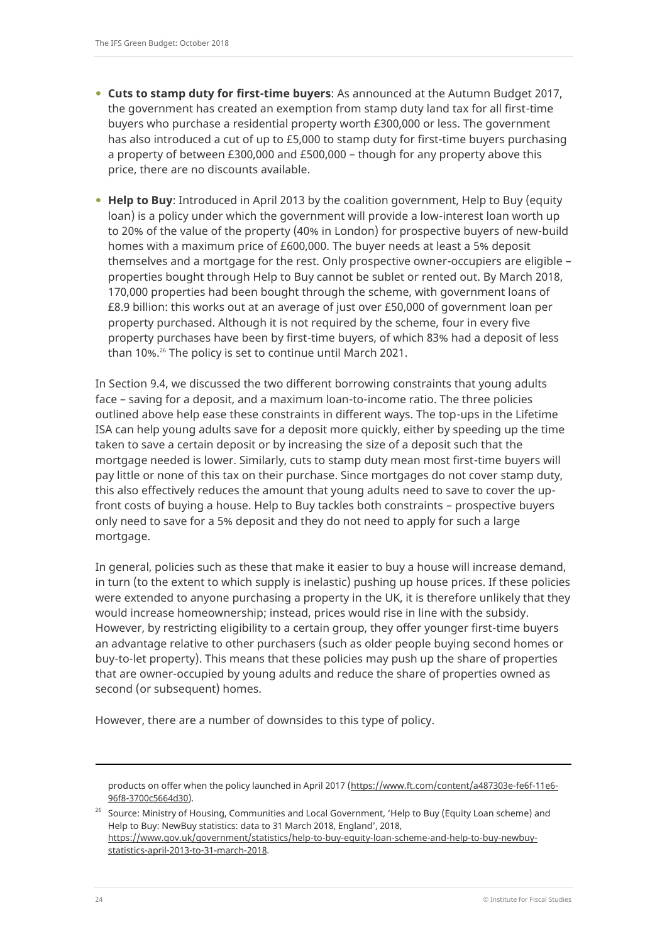- **Cuts to stamp duty for first-time buyers**: As announced at the Autumn Budget 2017, the government has created an exemption from stamp duty land tax for all first-time buyers who purchase a residential property worth £300,000 or less. The government has also introduced a cut of up to £5,000 to stamp duty for first-time buyers purchasing a property of between £300,000 and £500,000 – though for any property above this price, there are no discounts available.
- **Help to Buy**: Introduced in April 2013 by the coalition government, Help to Buy (equity loan) is a policy under which the government will provide a low-interest loan worth up to 20% of the value of the property (40% in London) for prospective buyers of new-build homes with a maximum price of £600,000. The buyer needs at least a 5% deposit themselves and a mortgage for the rest. Only prospective owner-occupiers are eligible – properties bought through Help to Buy cannot be sublet or rented out. By March 2018, 170,000 properties had been bought through the scheme, with government loans of £8.9 billion: this works out at an average of just over £50,000 of government loan per property purchased. Although it is not required by the scheme, four in every five property purchases have been by first-time buyers, of which 83% had a deposit of less than 10%.<sup>26</sup> The policy is set to continue until March 2021.

In Section 9.4, we discussed the two different borrowing constraints that young adults face – saving for a deposit, and a maximum loan-to-income ratio. The three policies outlined above help ease these constraints in different ways. The top-ups in the Lifetime ISA can help young adults save for a deposit more quickly, either by speeding up the time taken to save a certain deposit or by increasing the size of a deposit such that the mortgage needed is lower. Similarly, cuts to stamp duty mean most first-time buyers will pay little or none of this tax on their purchase. Since mortgages do not cover stamp duty, this also effectively reduces the amount that young adults need to save to cover the upfront costs of buying a house. Help to Buy tackles both constraints – prospective buyers only need to save for a 5% deposit and they do not need to apply for such a large mortgage.

In general, policies such as these that make it easier to buy a house will increase demand, in turn (to the extent to which supply is inelastic) pushing up house prices. If these policies were extended to anyone purchasing a property in the UK, it is therefore unlikely that they would increase homeownership; instead, prices would rise in line with the subsidy. However, by restricting eligibility to a certain group, they offer younger first-time buyers an advantage relative to other purchasers (such as older people buying second homes or buy-to-let property). This means that these policies may push up the share of properties that are owner-occupied by young adults and reduce the share of properties owned as second (or subsequent) homes.

However, there are a number of downsides to this type of policy.

<sup>26</sup> Source: Ministry of Housing, Communities and Local Government, 'Help to Buy (Equity Loan scheme) and Help to Buy: NewBuy statistics: data to 31 March 2018, England', 2018, [https://www.gov.uk/government/statistics/help-to-buy-equity-loan-scheme-and-help-to-buy-newbuy](https://www.gov.uk/government/statistics/help-to-buy-equity-loan-scheme-and-help-to-buy-newbuy-statistics-april-2013-to-31-march-2018)[statistics-april-2013-to-31-march-2018.](https://www.gov.uk/government/statistics/help-to-buy-equity-loan-scheme-and-help-to-buy-newbuy-statistics-april-2013-to-31-march-2018)

-

products on offer when the policy launched in April 2017 [\(https://www.ft.com/content/a487303e-fe6f-11e6-](https://www.ft.com/content/a487303e-fe6f-11e6-96f8-3700c5664d30) [96f8-3700c5664d30\)](https://www.ft.com/content/a487303e-fe6f-11e6-96f8-3700c5664d30).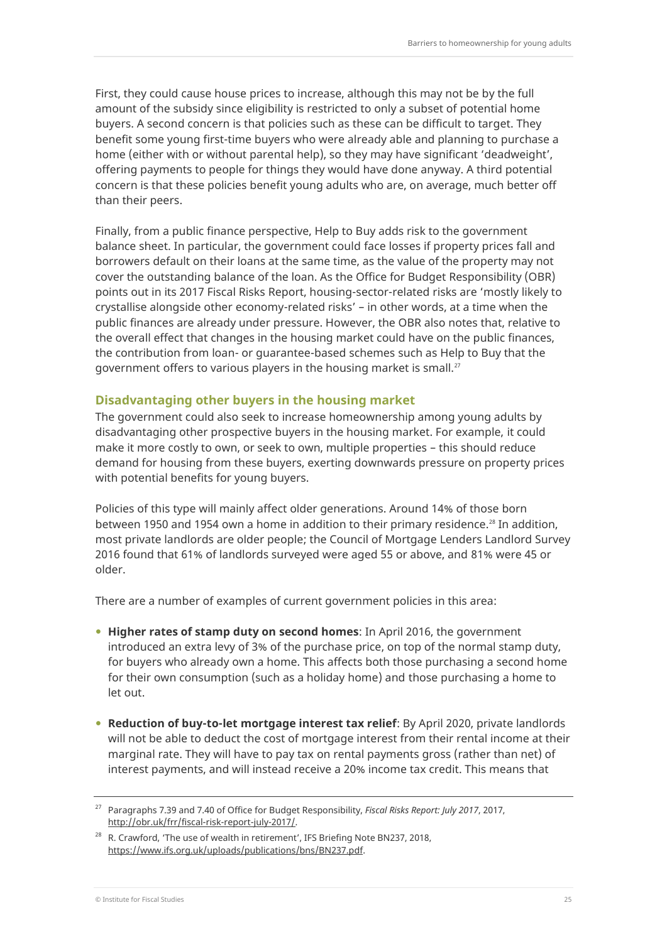First, they could cause house prices to increase, although this may not be by the full amount of the subsidy since eligibility is restricted to only a subset of potential home buyers. A second concern is that policies such as these can be difficult to target. They benefit some young first-time buyers who were already able and planning to purchase a home (either with or without parental help), so they may have significant 'deadweight', offering payments to people for things they would have done anyway. A third potential concern is that these policies benefit young adults who are, on average, much better off than their peers.

Finally, from a public finance perspective, Help to Buy adds risk to the government balance sheet. In particular, the government could face losses if property prices fall and borrowers default on their loans at the same time, as the value of the property may not cover the outstanding balance of the loan. As the Office for Budget Responsibility (OBR) points out in its 2017 Fiscal Risks Report, housing-sector-related risks are 'mostly likely to crystallise alongside other economy-related risks' – in other words, at a time when the public finances are already under pressure. However, the OBR also notes that, relative to the overall effect that changes in the housing market could have on the public finances, the contribution from loan- or guarantee-based schemes such as Help to Buy that the government offers to various players in the housing market is small.<sup>27</sup>

## **Disadvantaging other buyers in the housing market**

The government could also seek to increase homeownership among young adults by disadvantaging other prospective buyers in the housing market. For example, it could make it more costly to own, or seek to own, multiple properties – this should reduce demand for housing from these buyers, exerting downwards pressure on property prices with potential benefits for young buyers.

Policies of this type will mainly affect older generations. Around 14% of those born between 1950 and 1954 own a home in addition to their primary residence.<sup>28</sup> In addition, most private landlords are older people; the Council of Mortgage Lenders Landlord Survey 2016 found that 61% of landlords surveyed were aged 55 or above, and 81% were 45 or older.

There are a number of examples of current government policies in this area:

- **Higher rates of stamp duty on second homes**: In April 2016, the government introduced an extra levy of 3% of the purchase price, on top of the normal stamp duty, for buyers who already own a home. This affects both those purchasing a second home for their own consumption (such as a holiday home) and those purchasing a home to let out.
- **Reduction of buy-to-let mortgage interest tax relief**: By April 2020, private landlords will not be able to deduct the cost of mortgage interest from their rental income at their marginal rate. They will have to pay tax on rental payments gross (rather than net) of interest payments, and will instead receive a 20% income tax credit. This means that

<sup>27</sup> Paragraphs 7.39 and 7.40 of Office for Budget Responsibility, *Fiscal Risks Report: July 2017*, 2017, [http://obr.uk/frr/fiscal-risk-report-july-2017/.](http://obr.uk/frr/fiscal-risk-report-july-2017/)

<sup>&</sup>lt;sup>28</sup> R. Crawford, 'The use of wealth in retirement', IFS Briefing Note BN237, 2018, [https://www.ifs.org.uk/uploads/publications/bns/BN237.pdf.](https://www.ifs.org.uk/uploads/publications/bns/BN237.pdf)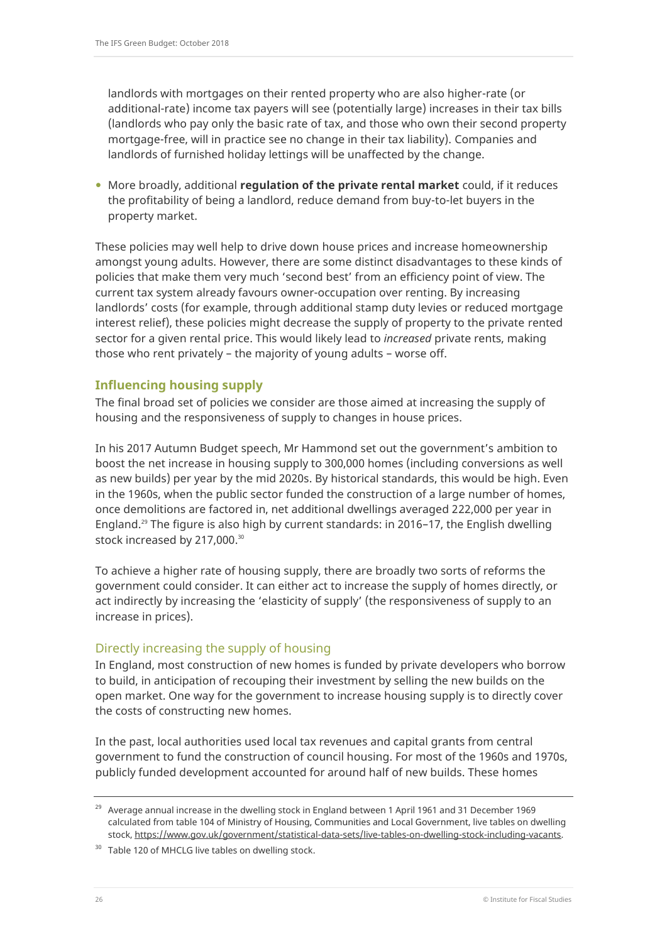landlords with mortgages on their rented property who are also higher-rate (or additional-rate) income tax payers will see (potentially large) increases in their tax bills (landlords who pay only the basic rate of tax, and those who own their second property mortgage-free, will in practice see no change in their tax liability). Companies and landlords of furnished holiday lettings will be unaffected by the change.

 More broadly, additional **regulation of the private rental market** could, if it reduces the profitability of being a landlord, reduce demand from buy-to-let buyers in the property market.

These policies may well help to drive down house prices and increase homeownership amongst young adults. However, there are some distinct disadvantages to these kinds of policies that make them very much 'second best' from an efficiency point of view. The current tax system already favours owner-occupation over renting. By increasing landlords' costs (for example, through additional stamp duty levies or reduced mortgage interest relief), these policies might decrease the supply of property to the private rented sector for a given rental price. This would likely lead to *increased* private rents, making those who rent privately – the majority of young adults – worse off.

## **Influencing housing supply**

The final broad set of policies we consider are those aimed at increasing the supply of housing and the responsiveness of supply to changes in house prices.

In his 2017 Autumn Budget speech, Mr Hammond set out the government's ambition to boost the net increase in housing supply to 300,000 homes (including conversions as well as new builds) per year by the mid 2020s. By historical standards, this would be high. Even in the 1960s, when the public sector funded the construction of a large number of homes, once demolitions are factored in, net additional dwellings averaged 222,000 per year in England.<sup>29</sup> The figure is also high by current standards: in 2016–17, the English dwelling stock increased by 217,000.<sup>30</sup>

To achieve a higher rate of housing supply, there are broadly two sorts of reforms the government could consider. It can either act to increase the supply of homes directly, or act indirectly by increasing the 'elasticity of supply' (the responsiveness of supply to an increase in prices).

## Directly increasing the supply of housing

In England, most construction of new homes is funded by private developers who borrow to build, in anticipation of recouping their investment by selling the new builds on the open market. One way for the government to increase housing supply is to directly cover the costs of constructing new homes.

In the past, local authorities used local tax revenues and capital grants from central government to fund the construction of council housing. For most of the 1960s and 1970s, publicly funded development accounted for around half of new builds. These homes

<sup>&</sup>lt;sup>29</sup> Average annual increase in the dwelling stock in England between 1 April 1961 and 31 December 1969 calculated from table 104 of Ministry of Housing, Communities and Local Government, live tables on dwelling stock, [https://www.gov.uk/government/statistical-data-sets/live-tables-on-dwelling-stock-including-vacants.](https://www.gov.uk/government/statistical-data-sets/live-tables-on-dwelling-stock-including-vacants)

<sup>&</sup>lt;sup>30</sup> Table 120 of MHCLG live tables on dwelling stock.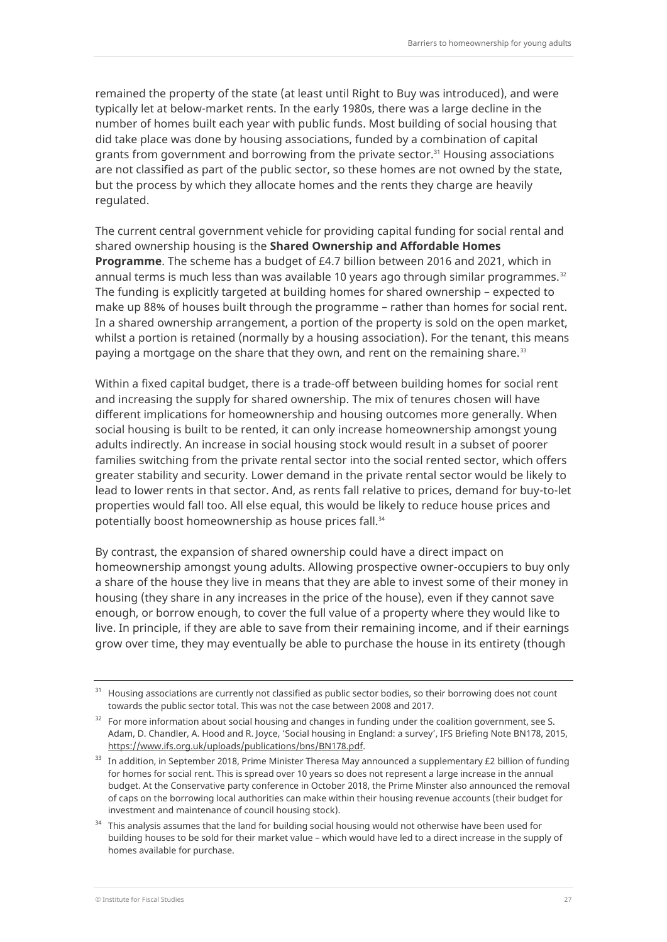remained the property of the state (at least until Right to Buy was introduced), and were typically let at below-market rents. In the early 1980s, there was a large decline in the number of homes built each year with public funds. Most building of social housing that did take place was done by housing associations, funded by a combination of capital grants from government and borrowing from the private sector.<sup>31</sup> Housing associations are not classified as part of the public sector, so these homes are not owned by the state, but the process by which they allocate homes and the rents they charge are heavily regulated.

The current central government vehicle for providing capital funding for social rental and shared ownership housing is the **Shared Ownership and Affordable Homes Programme**. The scheme has a budget of £4.7 billion between 2016 and 2021, which in annual terms is much less than was available 10 years ago through similar programmes. $32$ The funding is explicitly targeted at building homes for shared ownership – expected to make up 88% of houses built through the programme – rather than homes for social rent. In a shared ownership arrangement, a portion of the property is sold on the open market, whilst a portion is retained (normally by a housing association). For the tenant, this means paying a mortgage on the share that they own, and rent on the remaining share.<sup>33</sup>

Within a fixed capital budget, there is a trade-off between building homes for social rent and increasing the supply for shared ownership. The mix of tenures chosen will have different implications for homeownership and housing outcomes more generally. When social housing is built to be rented, it can only increase homeownership amongst young adults indirectly. An increase in social housing stock would result in a subset of poorer families switching from the private rental sector into the social rented sector, which offers greater stability and security. Lower demand in the private rental sector would be likely to lead to lower rents in that sector. And, as rents fall relative to prices, demand for buy-to-let properties would fall too. All else equal, this would be likely to reduce house prices and potentially boost homeownership as house prices fall.<sup>34</sup>

By contrast, the expansion of shared ownership could have a direct impact on homeownership amongst young adults. Allowing prospective owner-occupiers to buy only a share of the house they live in means that they are able to invest some of their money in housing (they share in any increases in the price of the house), even if they cannot save enough, or borrow enough, to cover the full value of a property where they would like to live. In principle, if they are able to save from their remaining income, and if their earnings grow over time, they may eventually be able to purchase the house in its entirety (though

<sup>&</sup>lt;sup>31</sup> Housing associations are currently not classified as public sector bodies, so their borrowing does not count towards the public sector total. This was not the case between 2008 and 2017.

<sup>&</sup>lt;sup>32</sup> For more information about social housing and changes in funding under the coalition government, see S. Adam, D. Chandler, A. Hood and R. Joyce, 'Social housing in England: a survey', IFS Briefing Note BN178, 2015, [https://www.ifs.org.uk/uploads/publications/bns/BN178.pdf.](https://www.ifs.org.uk/uploads/publications/bns/BN178.pdf)

 $33$  In addition, in September 2018, Prime Minister Theresa May announced a supplementary £2 billion of funding for homes for social rent. This is spread over 10 years so does not represent a large increase in the annual budget. At the Conservative party conference in October 2018, the Prime Minster also announced the removal of caps on the borrowing local authorities can make within their housing revenue accounts (their budget for investment and maintenance of council housing stock).

<sup>&</sup>lt;sup>34</sup> This analysis assumes that the land for building social housing would not otherwise have been used for building houses to be sold for their market value – which would have led to a direct increase in the supply of homes available for purchase.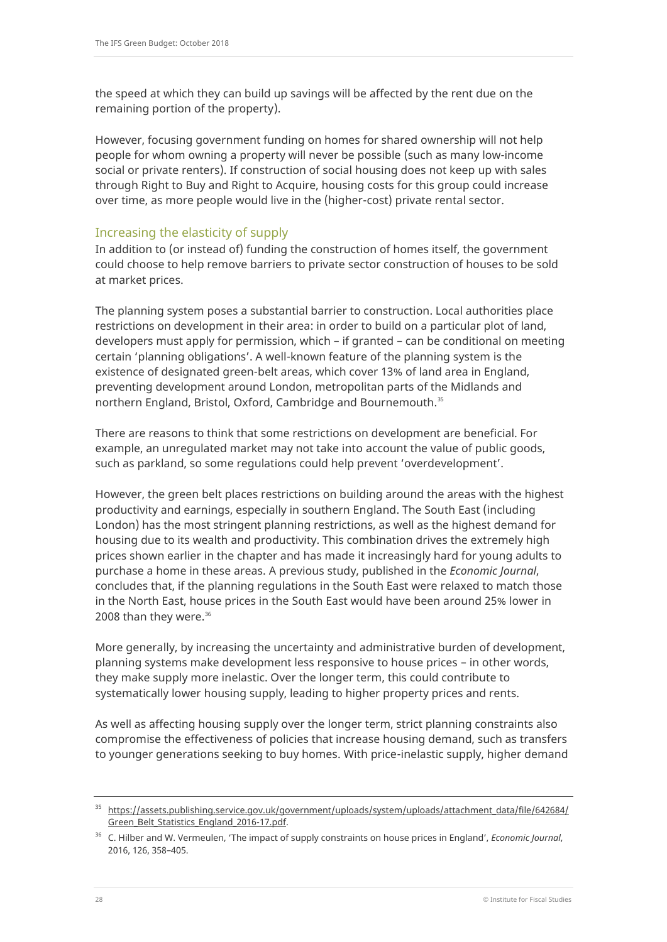the speed at which they can build up savings will be affected by the rent due on the remaining portion of the property).

However, focusing government funding on homes for shared ownership will not help people for whom owning a property will never be possible (such as many low-income social or private renters). If construction of social housing does not keep up with sales through Right to Buy and Right to Acquire, housing costs for this group could increase over time, as more people would live in the (higher-cost) private rental sector.

## Increasing the elasticity of supply

In addition to (or instead of) funding the construction of homes itself, the government could choose to help remove barriers to private sector construction of houses to be sold at market prices.

The planning system poses a substantial barrier to construction. Local authorities place restrictions on development in their area: in order to build on a particular plot of land, developers must apply for permission, which – if granted – can be conditional on meeting certain 'planning obligations'. A well-known feature of the planning system is the existence of designated green-belt areas, which cover 13% of land area in England, preventing development around London, metropolitan parts of the Midlands and northern England, Bristol, Oxford, Cambridge and Bournemouth.<sup>35</sup>

There are reasons to think that some restrictions on development are beneficial. For example, an unregulated market may not take into account the value of public goods, such as parkland, so some regulations could help prevent 'overdevelopment'.

However, the green belt places restrictions on building around the areas with the highest productivity and earnings, especially in southern England. The South East (including London) has the most stringent planning restrictions, as well as the highest demand for housing due to its wealth and productivity. This combination drives the extremely high prices shown earlier in the chapter and has made it increasingly hard for young adults to purchase a home in these areas. A previous study, published in the *Economic Journal*, concludes that, if the planning regulations in the South East were relaxed to match those in the North East, house prices in the South East would have been around 25% lower in 2008 than they were.<sup>36</sup>

More generally, by increasing the uncertainty and administrative burden of development, planning systems make development less responsive to house prices – in other words, they make supply more inelastic. Over the longer term, this could contribute to systematically lower housing supply, leading to higher property prices and rents.

As well as affecting housing supply over the longer term, strict planning constraints also compromise the effectiveness of policies that increase housing demand, such as transfers to younger generations seeking to buy homes. With price-inelastic supply, higher demand

<sup>35</sup> [https://assets.publishing.service.gov.uk/government/uploads/system/uploads/attachment\\_data/file/642684/](https://assets.publishing.service.gov.uk/government/uploads/system/uploads/attachment_data/file/642684/Green_Belt_Statistics_England_2016-17.pdf) [Green\\_Belt\\_Statistics\\_England\\_2016-17.pdf.](https://assets.publishing.service.gov.uk/government/uploads/system/uploads/attachment_data/file/642684/Green_Belt_Statistics_England_2016-17.pdf)

<sup>36</sup> C. Hilber and W. Vermeulen, 'The impact of supply constraints on house prices in England', *Economic Journal*, 2016, 126, 358–405.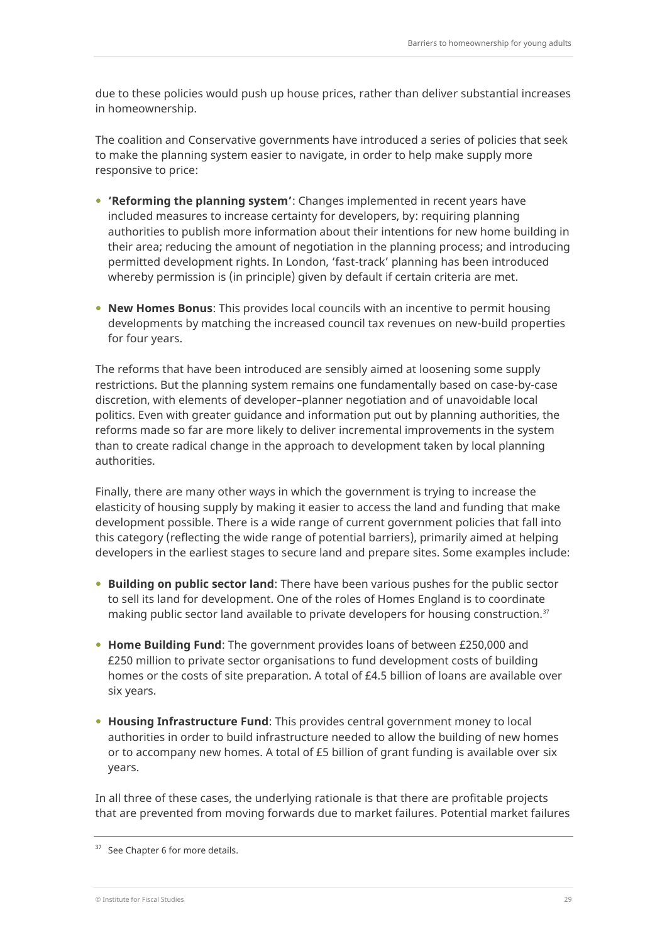due to these policies would push up house prices, rather than deliver substantial increases in homeownership.

The coalition and Conservative governments have introduced a series of policies that seek to make the planning system easier to navigate, in order to help make supply more responsive to price:

- **'Reforming the planning system'**: Changes implemented in recent years have included measures to increase certainty for developers, by: requiring planning authorities to publish more information about their intentions for new home building in their area; reducing the amount of negotiation in the planning process; and introducing permitted development rights. In London, 'fast-track' planning has been introduced whereby permission is (in principle) given by default if certain criteria are met.
- **New Homes Bonus**: This provides local councils with an incentive to permit housing developments by matching the increased council tax revenues on new-build properties for four years.

The reforms that have been introduced are sensibly aimed at loosening some supply restrictions. But the planning system remains one fundamentally based on case-by-case discretion, with elements of developer–planner negotiation and of unavoidable local politics. Even with greater guidance and information put out by planning authorities, the reforms made so far are more likely to deliver incremental improvements in the system than to create radical change in the approach to development taken by local planning authorities.

Finally, there are many other ways in which the government is trying to increase the elasticity of housing supply by making it easier to access the land and funding that make development possible. There is a wide range of current government policies that fall into this category (reflecting the wide range of potential barriers), primarily aimed at helping developers in the earliest stages to secure land and prepare sites. Some examples include:

- **Building on public sector land**: There have been various pushes for the public sector to sell its land for development. One of the roles of Homes England is to coordinate making public sector land available to private developers for housing construction.<sup>37</sup>
- **Home Building Fund**: The government provides loans of between £250,000 and £250 million to private sector organisations to fund development costs of building homes or the costs of site preparation. A total of £4.5 billion of loans are available over six years.
- **Housing Infrastructure Fund**: This provides central government money to local authorities in order to build infrastructure needed to allow the building of new homes or to accompany new homes. A total of £5 billion of grant funding is available over six years.

In all three of these cases, the underlying rationale is that there are profitable projects that are prevented from moving forwards due to market failures. Potential market failures

<sup>&</sup>lt;sup>37</sup> See Chapter 6 for more details.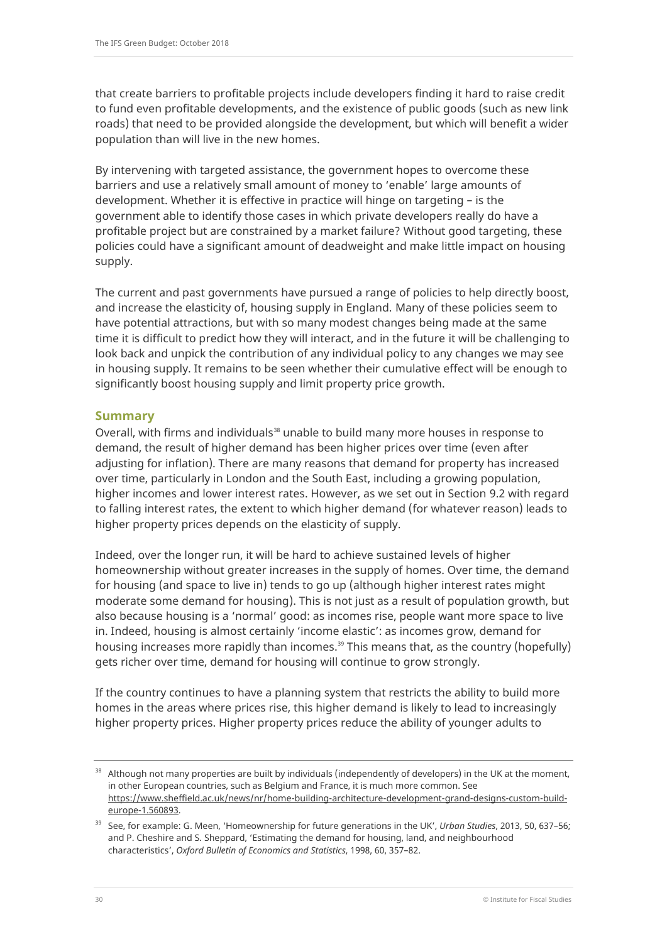that create barriers to profitable projects include developers finding it hard to raise credit to fund even profitable developments, and the existence of public goods (such as new link roads) that need to be provided alongside the development, but which will benefit a wider population than will live in the new homes.

By intervening with targeted assistance, the government hopes to overcome these barriers and use a relatively small amount of money to 'enable' large amounts of development. Whether it is effective in practice will hinge on targeting – is the government able to identify those cases in which private developers really do have a profitable project but are constrained by a market failure? Without good targeting, these policies could have a significant amount of deadweight and make little impact on housing supply.

The current and past governments have pursued a range of policies to help directly boost, and increase the elasticity of, housing supply in England. Many of these policies seem to have potential attractions, but with so many modest changes being made at the same time it is difficult to predict how they will interact, and in the future it will be challenging to look back and unpick the contribution of any individual policy to any changes we may see in housing supply. It remains to be seen whether their cumulative effect will be enough to significantly boost housing supply and limit property price growth.

#### **Summary**

Overall, with firms and individuals<sup>38</sup> unable to build many more houses in response to demand, the result of higher demand has been higher prices over time (even after adjusting for inflation). There are many reasons that demand for property has increased over time, particularly in London and the South East, including a growing population, higher incomes and lower interest rates. However, as we set out in Section 9.2 with regard to falling interest rates, the extent to which higher demand (for whatever reason) leads to higher property prices depends on the elasticity of supply.

Indeed, over the longer run, it will be hard to achieve sustained levels of higher homeownership without greater increases in the supply of homes. Over time, the demand for housing (and space to live in) tends to go up (although higher interest rates might moderate some demand for housing). This is not just as a result of population growth, but also because housing is a 'normal' good: as incomes rise, people want more space to live in. Indeed, housing is almost certainly 'income elastic': as incomes grow, demand for housing increases more rapidly than incomes.<sup>39</sup> This means that, as the country (hopefully) gets richer over time, demand for housing will continue to grow strongly.

If the country continues to have a planning system that restricts the ability to build more homes in the areas where prices rise, this higher demand is likely to lead to increasingly higher property prices. Higher property prices reduce the ability of younger adults to

<sup>&</sup>lt;sup>38</sup> Although not many properties are built by individuals (independently of developers) in the UK at the moment, in other European countries, such as Belgium and France, it is much more common. See [https://www.sheffield.ac.uk/news/nr/home-building-architecture-development-grand-designs-custom-build](https://www.sheffield.ac.uk/news/nr/home-building-architecture-development-grand-designs-custom-build-europe-1.560893)[europe-1.560893.](https://www.sheffield.ac.uk/news/nr/home-building-architecture-development-grand-designs-custom-build-europe-1.560893)

<sup>39</sup> See, for example: G. Meen, 'Homeownership for future generations in the UK', *Urban Studies*, 2013, 50, 637–56; and P. Cheshire and S. Sheppard, 'Estimating the demand for housing, land, and neighbourhood characteristics', *Oxford Bulletin of Economics and Statistics*, 1998, [60,](https://onlinelibrary.wiley.com/toc/14680084/1998/60/3) 357–82.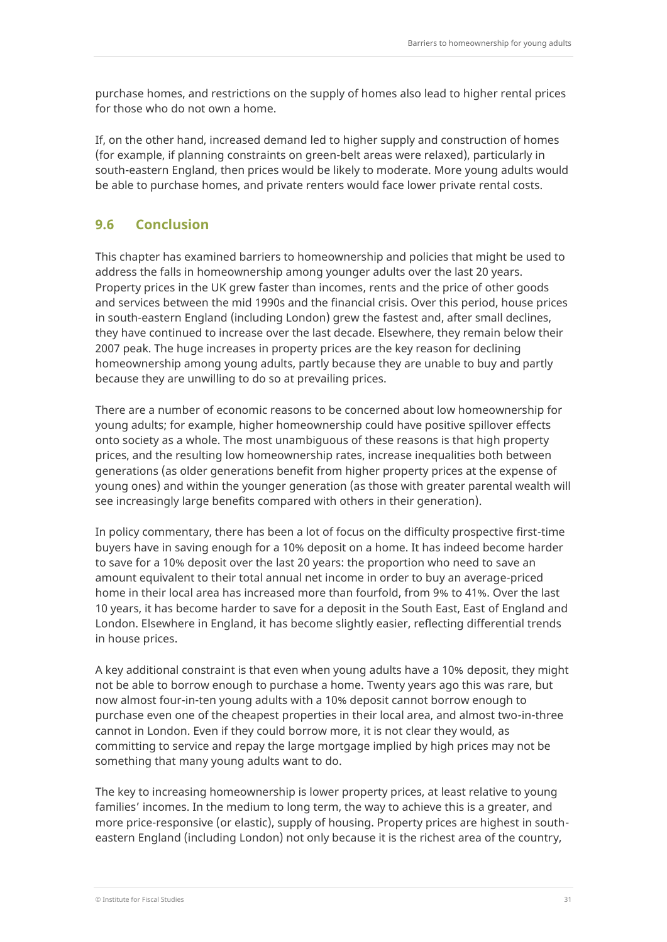purchase homes, and restrictions on the supply of homes also lead to higher rental prices for those who do not own a home.

If, on the other hand, increased demand led to higher supply and construction of homes (for example, if planning constraints on green-belt areas were relaxed), particularly in south-eastern England, then prices would be likely to moderate. More young adults would be able to purchase homes, and private renters would face lower private rental costs.

# **9.6 Conclusion**

This chapter has examined barriers to homeownership and policies that might be used to address the falls in homeownership among younger adults over the last 20 years. Property prices in the UK grew faster than incomes, rents and the price of other goods and services between the mid 1990s and the financial crisis. Over this period, house prices in south-eastern England (including London) grew the fastest and, after small declines, they have continued to increase over the last decade. Elsewhere, they remain below their 2007 peak. The huge increases in property prices are the key reason for declining homeownership among young adults, partly because they are unable to buy and partly because they are unwilling to do so at prevailing prices.

There are a number of economic reasons to be concerned about low homeownership for young adults; for example, higher homeownership could have positive spillover effects onto society as a whole. The most unambiguous of these reasons is that high property prices, and the resulting low homeownership rates, increase inequalities both between generations (as older generations benefit from higher property prices at the expense of young ones) and within the younger generation (as those with greater parental wealth will see increasingly large benefits compared with others in their generation).

In policy commentary, there has been a lot of focus on the difficulty prospective first-time buyers have in saving enough for a 10% deposit on a home. It has indeed become harder to save for a 10% deposit over the last 20 years: the proportion who need to save an amount equivalent to their total annual net income in order to buy an average-priced home in their local area has increased more than fourfold, from 9% to 41%. Over the last 10 years, it has become harder to save for a deposit in the South East, East of England and London. Elsewhere in England, it has become slightly easier, reflecting differential trends in house prices.

A key additional constraint is that even when young adults have a 10% deposit, they might not be able to borrow enough to purchase a home. Twenty years ago this was rare, but now almost four-in-ten young adults with a 10% deposit cannot borrow enough to purchase even one of the cheapest properties in their local area, and almost two-in-three cannot in London. Even if they could borrow more, it is not clear they would, as committing to service and repay the large mortgage implied by high prices may not be something that many young adults want to do.

The key to increasing homeownership is lower property prices, at least relative to young families' incomes. In the medium to long term, the way to achieve this is a greater, and more price-responsive (or elastic), supply of housing. Property prices are highest in southeastern England (including London) not only because it is the richest area of the country,